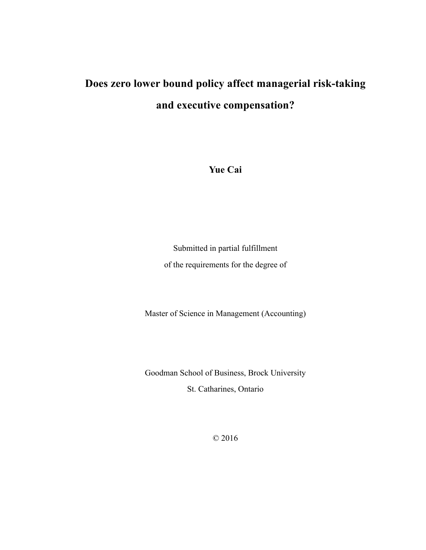# **Does zero lower bound policy affect managerial risk-taking and executive compensation?**

**Yue Cai**

Submitted in partial fulfillment of the requirements for the degree of

Master of Science in Management (Accounting)

Goodman School of Business, Brock University St. Catharines, Ontario

© 2016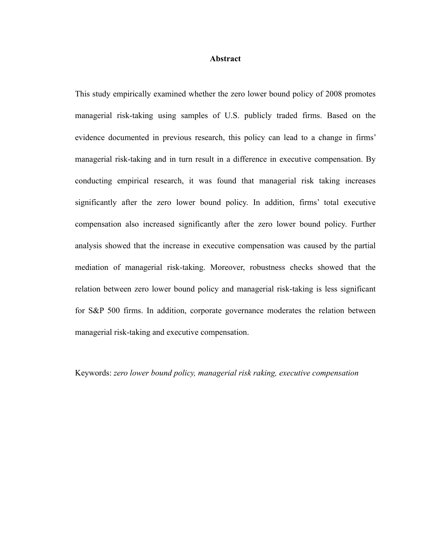#### **Abstract**

This study empirically examined whether the zero lower bound policy of 2008 promotes managerial risk-taking using samples of U.S. publicly traded firms. Based on the evidence documented in previous research, this policy can lead to a change in firms' managerial risk-taking and in turn result in a difference in executive compensation. By conducting empirical research, it was found that managerial risk taking increases significantly after the zero lower bound policy. In addition, firms' total executive compensation also increased significantly after the zero lower bound policy. Further analysis showed that the increase in executive compensation was caused by the partial mediation of managerial risk-taking. Moreover, robustness checks showed that the relation between zero lower bound policy and managerial risk-taking is less significant for S&P 500 firms. In addition, corporate governance moderates the relation between managerial risk-taking and executive compensation.

Keywords: *zero lower bound policy, managerial risk raking, executive compensation*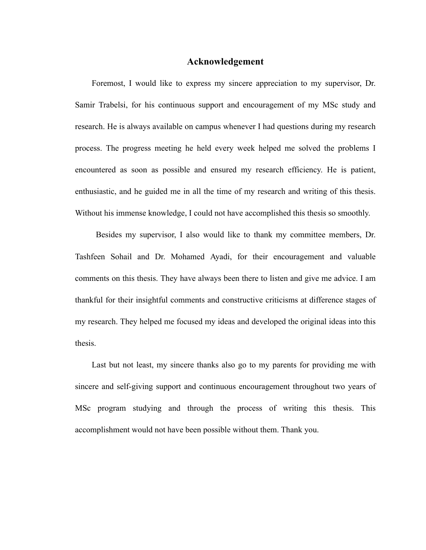#### **Acknowledgement**

Foremost, I would like to express my sincere appreciation to my supervisor, Dr. Samir Trabelsi, for his continuous support and encouragement of my MSc study and research. He is always available on campus whenever I had questions during my research process. The progress meeting he held every week helped me solved the problems I encountered as soon as possible and ensured my research efficiency. He is patient, enthusiastic, and he guided me in all the time of my research and writing of this thesis. Without his immense knowledge, I could not have accomplished this thesis so smoothly.

Besides my supervisor, I also would like to thank my committee members, Dr. Tashfeen Sohail and Dr. Mohamed Ayadi, for their encouragement and valuable comments on this thesis. They have always been there to listen and give me advice. I am thankful for their insightful comments and constructive criticisms at difference stages of my research. They helped me focused my ideas and developed the original ideas into this thesis.

Last but not least, my sincere thanks also go to my parents for providing me with sincere and self-giving support and continuous encouragement throughout two years of MSc program studying and through the process of writing this thesis. This accomplishment would not have been possible without them. Thank you.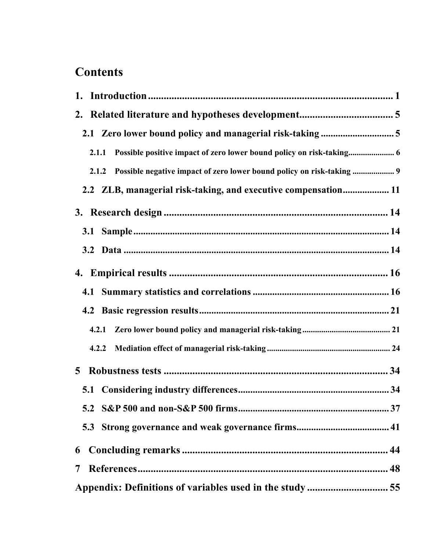# **Contents**

|   | 2.1.1                                                                          |
|---|--------------------------------------------------------------------------------|
|   | Possible negative impact of zero lower bound policy on risk-taking  9<br>2.1.2 |
|   | 2.2 ZLB, managerial risk-taking, and executive compensation 11                 |
|   |                                                                                |
|   |                                                                                |
|   |                                                                                |
|   |                                                                                |
|   |                                                                                |
|   |                                                                                |
|   | 4.2.1                                                                          |
|   | 4.2.2                                                                          |
| 5 |                                                                                |
|   |                                                                                |
|   |                                                                                |
|   |                                                                                |
| 6 |                                                                                |
| 7 |                                                                                |
|   |                                                                                |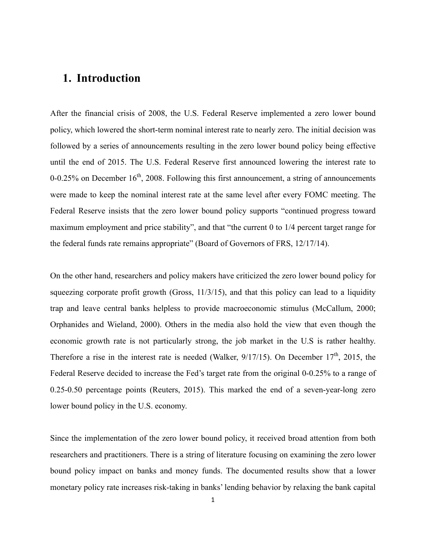# **1. Introduction**

After the financial crisis of 2008, the U.S. Federal Reserve implemented a zero lower bound policy, which lowered the short-term nominal interest rate to nearly zero. The initial decision was followed by a series of announcements resulting in the zero lower bound policy being effective until the end of 2015. The U.S. Federal Reserve first announced lowering the interest rate to 0-0.25% on December  $16<sup>th</sup>$ , 2008. Following this first announcement, a string of announcements were made to keep the nominal interest rate at the same level after every FOMC meeting. The Federal Reserve insists that the zero lower bound policy supports "continued progress toward maximum employment and price stability", and that "the current 0 to 1/4 percent target range for the federal funds rate remains appropriate" (Board of Governors of FRS, 12/17/14).

On the other hand, researchers and policy makers have criticized the zero lower bound policy for squeezing corporate profit growth (Gross, 11/3/15), and that this policy can lead to a liquidity trap and leave central banks helpless to provide macroeconomic stimulus (McCallum, 2000; Orphanides and Wieland, 2000). Others in the media also hold the view that even though the economic growth rate is not particularly strong, the job market in the U.S is rather healthy. Therefore a rise in the interest rate is needed (Walker,  $9/17/15$ ). On December  $17<sup>th</sup>$ , 2015, the Federal Reserve decided to increase the Fed's target rate from the original 0-0.25% to a range of 0.25-0.50 percentage points (Reuters, 2015). This marked the end of a seven-year-long zero lower bound policy in the U.S. economy.

Since the implementation of the zero lower bound policy, it received broad attention from both researchers and practitioners. There is a string of literature focusing on examining the zero lower bound policy impact on banks and money funds. The documented results show that a lower monetary policy rate increases risk-taking in banks' lending behavior by relaxing the bank capital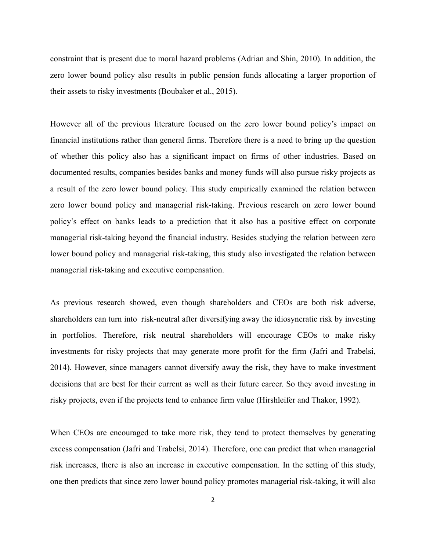constraint that is present due to moral hazard problems (Adrian and Shin, 2010). In addition, the zero lower bound policy also results in public pension funds allocating a larger proportion of their assets to risky investments (Boubaker et al., 2015).

However all of the previous literature focused on the zero lower bound policy's impact on financial institutions rather than general firms. Therefore there is a need to bring up the question of whether this policy also has a significant impact on firms of other industries. Based on documented results, companies besides banks and money funds will also pursue risky projects as a result of the zero lower bound policy. This study empirically examined the relation between zero lower bound policy and managerial risk-taking. Previous research on zero lower bound policy's effect on banks leads to a prediction that it also has a positive effect on corporate managerial risk-taking beyond the financial industry. Besides studying the relation between zero lower bound policy and managerial risk-taking, this study also investigated the relation between managerial risk-taking and executive compensation.

As previous research showed, even though shareholders and CEOs are both risk adverse, shareholders can turn into risk-neutral after diversifying away the idiosyncratic risk by investing in portfolios. Therefore, risk neutral shareholders will encourage CEOs to make risky investments for risky projects that may generate more profit for the firm (Jafri and Trabelsi, 2014). However, since managers cannot diversify away the risk, they have to make investment decisions that are best for their current as well as their future career. So they avoid investing in risky projects, even if the projects tend to enhance firm value (Hirshleifer and Thakor, 1992).

When CEOs are encouraged to take more risk, they tend to protect themselves by generating excess compensation (Jafri and Trabelsi, 2014). Therefore, one can predict that when managerial risk increases, there is also an increase in executive compensation. In the setting of this study, one then predicts that since zero lower bound policy promotes managerial risk-taking, it will also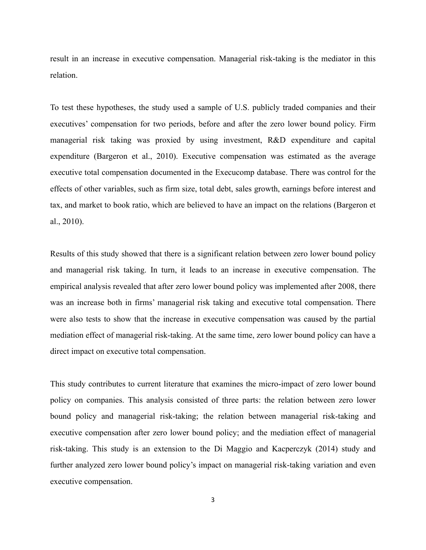result in an increase in executive compensation. Managerial risk-taking is the mediator in this relation.

To test these hypotheses, the study used a sample of U.S. publicly traded companies and their executives' compensation for two periods, before and after the zero lower bound policy. Firm managerial risk taking was proxied by using investment, R&D expenditure and capital expenditure (Bargeron et al., 2010). Executive compensation was estimated as the average executive total compensation documented in the Execucomp database. There was control for the effects of other variables, such as firm size, total debt, sales growth, earnings before interest and tax, and market to book ratio, which are believed to have an impact on the relations (Bargeron et al., 2010).

Results of this study showed that there is a significant relation between zero lower bound policy and managerial risk taking. In turn, it leads to an increase in executive compensation. The empirical analysis revealed that after zero lower bound policy was implemented after 2008, there was an increase both in firms' managerial risk taking and executive total compensation. There were also tests to show that the increase in executive compensation was caused by the partial mediation effect of managerial risk-taking. At the same time, zero lower bound policy can have a direct impact on executive total compensation.

This study contributes to current literature that examines the micro-impact of zero lower bound policy on companies. This analysis consisted of three parts: the relation between zero lower bound policy and managerial risk-taking; the relation between managerial risk-taking and executive compensation after zero lower bound policy; and the mediation effect of managerial risk-taking. This study is an extension to the Di Maggio and Kacperczyk (2014) study and further analyzed zero lower bound policy's impact on managerial risk-taking variation and even executive compensation.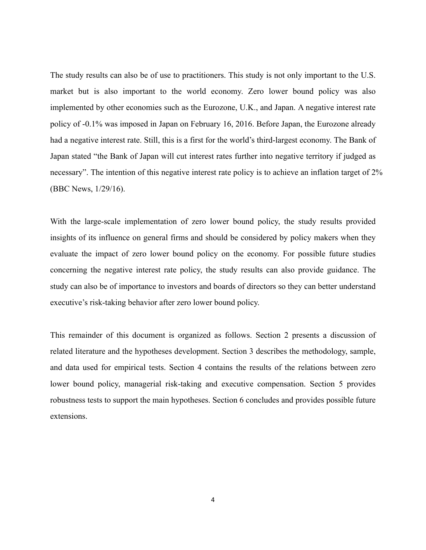The study results can also be of use to practitioners. This study is not only important to the U.S. market but is also important to the world economy. Zero lower bound policy was also implemented by other economies such as the Eurozone, U.K., and Japan. A negative interest rate policy of -0.1% was imposed in Japan on February 16, 2016. Before Japan, the Eurozone already had a negative interest rate. Still, this is a first for the world's third-largest economy. The Bank of Japan stated "the Bank of Japan will cut interest rates further into negative territory if judged as necessary". The intention of this negative interest rate policy is to achieve an inflation target of 2% (BBC News, 1/29/16).

With the large-scale implementation of zero lower bound policy, the study results provided insights of its influence on general firms and should be considered by policy makers when they evaluate the impact of zero lower bound policy on the economy. For possible future studies concerning the negative interest rate policy, the study results can also provide guidance. The study can also be of importance to investors and boards of directors so they can better understand executive's risk-taking behavior after zero lower bound policy.

This remainder of this document is organized as follows. Section 2 presents a discussion of related literature and the hypotheses development. Section 3 describes the methodology, sample, and data used for empirical tests. Section 4 contains the results of the relations between zero lower bound policy, managerial risk-taking and executive compensation. Section 5 provides robustness tests to support the main hypotheses. Section 6 concludes and provides possible future extensions.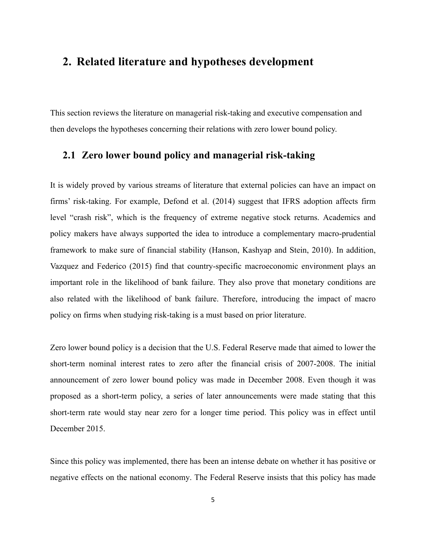# **2. Related literature and hypotheses development**

This section reviews the literature on managerial risk-taking and executive compensation and then develops the hypotheses concerning their relations with zero lower bound policy.

# **2.1 Zero lower bound policy and managerial risk-taking**

It is widely proved by various streams of literature that external policies can have an impact on firms' risk-taking. For example, Defond et al. (2014) suggest that IFRS adoption affects firm level "crash risk", which is the frequency of extreme negative stock returns. Academics and policy makers have always supported the idea to introduce a complementary macro-prudential framework to make sure of financial stability (Hanson, Kashyap and Stein, 2010). In addition, Vazquez and Federico (2015) find that country-specific macroeconomic environment plays an important role in the likelihood of bank failure. They also prove that monetary conditions are also related with the likelihood of bank failure. Therefore, introducing the impact of macro policy on firms when studying risk-taking is a must based on prior literature.

Zero lower bound policy is a decision that the U.S. Federal Reserve made that aimed to lower the short-term nominal interest rates to zero after the financial crisis of 2007-2008. The initial announcement of zero lower bound policy was made in December 2008. Even though it was proposed as a short-term policy, a series of later announcements were made stating that this short-term rate would stay near zero for a longer time period. This policy was in effect until December 2015.

Since this policy was implemented, there has been an intense debate on whether it has positive or negative effects on the national economy. The Federal Reserve insists that this policy has made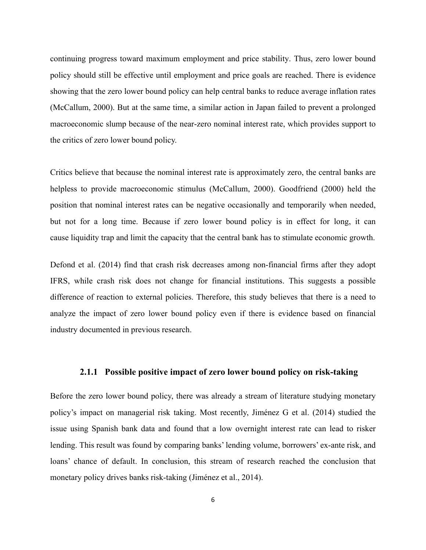continuing progress toward maximum employment and price stability. Thus, zero lower bound policy should still be effective until employment and price goals are reached. There is evidence showing that the zero lower bound policy can help central banks to reduce average inflation rates (McCallum, 2000). But at the same time, a similar action in Japan failed to prevent a prolonged macroeconomic slump because of the near-zero nominal interest rate, which provides support to the critics of zero lower bound policy.

Critics believe that because the nominal interest rate is approximately zero, the central banks are helpless to provide macroeconomic stimulus (McCallum, 2000). Goodfriend (2000) held the position that nominal interest rates can be negative occasionally and temporarily when needed, but not for a long time. Because if zero lower bound policy is in effect for long, it can cause liquidity trap and limit the capacity that the central bank has to stimulate economic growth.

Defond et al. (2014) find that crash risk decreases among non-financial firms after they adopt IFRS, while crash risk does not change for financial institutions. This suggests a possible difference of reaction to external policies. Therefore, this study believes that there is a need to analyze the impact of zero lower bound policy even if there is evidence based on financial industry documented in previous research.

#### **2.1.1 Possible positive impact of zero lower bound policy on risk-taking**

Before the zero lower bound policy, there was already a stream of literature studying monetary policy's impact on managerial risk taking. Most recently, Jiménez G et al. (2014) studied the issue using Spanish bank data and found that a low overnight interest rate can lead to risker lending. This result was found by comparing banks' lending volume, borrowers' ex-ante risk, and loans' chance of default. In conclusion, this stream of research reached the conclusion that monetary policy drives banks risk-taking (Jiménez et al., 2014).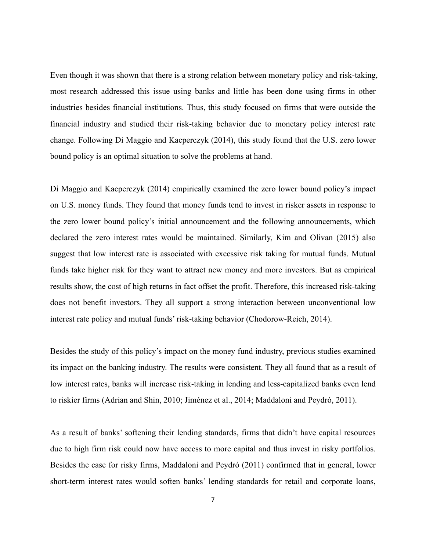Even though it was shown that there is a strong relation between monetary policy and risk-taking, most research addressed this issue using banks and little has been done using firms in other industries besides financial institutions. Thus, this study focused on firms that were outside the financial industry and studied their risk-taking behavior due to monetary policy interest rate change. Following Di Maggio and Kacperczyk (2014), this study found that the U.S. zero lower bound policy is an optimal situation to solve the problems at hand.

Di Maggio and Kacperczyk (2014) empirically examined the zero lower bound policy's impact on U.S. money funds. They found that money funds tend to invest in risker assets in response to the zero lower bound policy's initial announcement and the following announcements, which declared the zero interest rates would be maintained. Similarly, Kim and Olivan (2015) also suggest that low interest rate is associated with excessive risk taking for mutual funds. Mutual funds take higher risk for they want to attract new money and more investors. But as empirical results show, the cost of high returns in fact offset the profit. Therefore, this increased risk-taking does not benefit investors. They all support a strong interaction between unconventional low interest rate policy and mutual funds' risk-taking behavior (Chodorow-Reich, 2014).

Besides the study of this policy's impact on the money fund industry, previous studies examined its impact on the banking industry. The results were consistent. They all found that as a result of low interest rates, banks will increase risk-taking in lending and less-capitalized banks even lend to riskier firms (Adrian and Shin, 2010; Jiménez et al., 2014; Maddaloni and Peydró, 2011).

As a result of banks' softening their lending standards, firms that didn't have capital resources due to high firm risk could now have access to more capital and thus invest in risky portfolios. Besides the case for risky firms, Maddaloni and Peydró (2011) confirmed that in general, lower short-term interest rates would soften banks' lending standards for retail and corporate loans,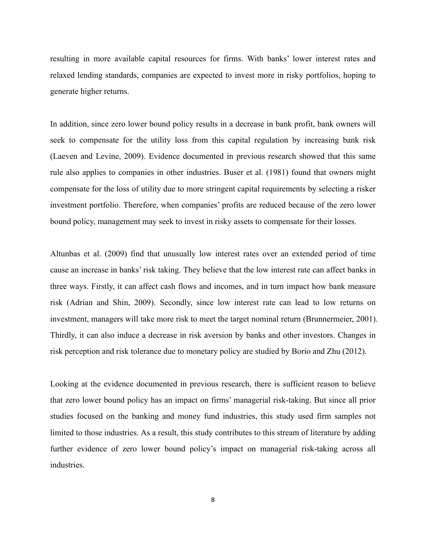resulting in more available capital resources for firms. With banks' lower interest rates and relaxed lending standards, companies are expected to invest more in risky portfolios, hoping to generate higher returns.

In addition, since zero lower bound policy results in a decrease in bank profit, bank owners will seek to compensate for the utility loss from this capital regulation by increasing bank risk (Laeven and Levine, 2009). Evidence documented in previous research showed that this same rule also applies to companies in other industries. Buser et al. (1981) found that owners might compensate for the loss of utility due to more stringent capital requirements by selecting a risker investment portfolio. Therefore, when companies' profits are reduced because of the zero lower bound policy, management may seek to invest in risky assets to compensate for their losses.

Altunbas et al. (2009) find that unusually low interest rates over an extended period of time cause an increase in banks' risk taking. They believe that the low interest rate can affect banks in three ways. Firstly, it can affect cash flows and incomes, and in turn impact how bank measure risk (Adrian and Shin, 2009). Secondly, since low interest rate can lead to low returns on investment, managers will take more risk to meet the target nominal return (Brunnermeier, 2001). Thirdly, it can also induce a decrease in risk aversion by banks and other investors. Changes in risk perception and risk tolerance due to monetary policy are studied by Borio and Zhu (2012).

Looking at the evidence documented in previous research, there is sufficient reason to believe that zero lower bound policy has an impact on firms' managerial risk-taking. But since all prior studies focused on the banking and money fund industries, this study used firm samples not limited to those industries. As a result, this study contributes to this stream of literature by adding further evidence of zero lower bound policy's impact on managerial risk-taking across all industries.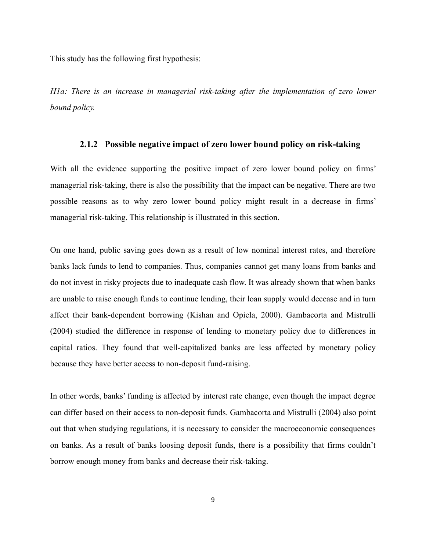This study has the following first hypothesis:

*H1a: There is an increase in managerial risk-taking after the implementation of zero lower bound policy.*

#### **2.1.2 Possible negative impact of zero lower bound policy on risk-taking**

With all the evidence supporting the positive impact of zero lower bound policy on firms' managerial risk-taking, there is also the possibility that the impact can be negative. There are two possible reasons as to why zero lower bound policy might result in a decrease in firms' managerial risk-taking. This relationship is illustrated in this section.

On one hand, public saving goes down as a result of low nominal interest rates, and therefore banks lack funds to lend to companies. Thus, companies cannot get many loans from banks and do not invest in risky projects due to inadequate cash flow. It was already shown that when banks are unable to raise enough funds to continue lending, their loan supply would decease and in turn affect their bank-dependent borrowing (Kishan and Opiela, 2000). Gambacorta and Mistrulli (2004) studied the difference in response of lending to monetary policy due to differences in capital ratios. They found that well-capitalized banks are less affected by monetary policy because they have better access to non-deposit fund-raising.

In other words, banks' funding is affected by interest rate change, even though the impact degree can differ based on their access to non-deposit funds. Gambacorta and Mistrulli (2004) also point out that when studying regulations, it is necessary to consider the macroeconomic consequences on banks. As a result of banks loosing deposit funds, there is a possibility that firms couldn't borrow enough money from banks and decrease their risk-taking.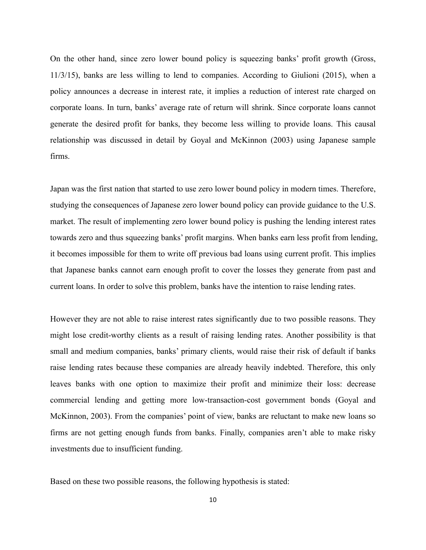On the other hand, since zero lower bound policy is squeezing banks' profit growth (Gross, 11/3/15), banks are less willing to lend to companies. According to Giulioni (2015), when a policy announces a decrease in interest rate, it implies a reduction of interest rate charged on corporate loans. In turn, banks' average rate of return will shrink. Since corporate loans cannot generate the desired profit for banks, they become less willing to provide loans. This causal relationship was discussed in detail by Goyal and McKinnon (2003) using Japanese sample firms.

Japan was the first nation that started to use zero lower bound policy in modern times. Therefore, studying the consequences of Japanese zero lower bound policy can provide guidance to the U.S. market. The result of implementing zero lower bound policy is pushing the lending interest rates towards zero and thus squeezing banks' profit margins. When banks earn less profit from lending, it becomes impossible for them to write off previous bad loans using current profit. This implies that Japanese banks cannot earn enough profit to cover the losses they generate from past and current loans. In order to solve this problem, banks have the intention to raise lending rates.

However they are not able to raise interest rates significantly due to two possible reasons. They might lose credit-worthy clients as a result of raising lending rates. Another possibility is that small and medium companies, banks' primary clients, would raise their risk of default if banks raise lending rates because these companies are already heavily indebted. Therefore, this only leaves banks with one option to maximize their profit and minimize their loss: decrease commercial lending and getting more low-transaction-cost government bonds (Goyal and McKinnon, 2003). From the companies' point of view, banks are reluctant to make new loans so firms are not getting enough funds from banks. Finally, companies aren't able to make risky investments due to insufficient funding.

Based on these two possible reasons, the following hypothesis is stated: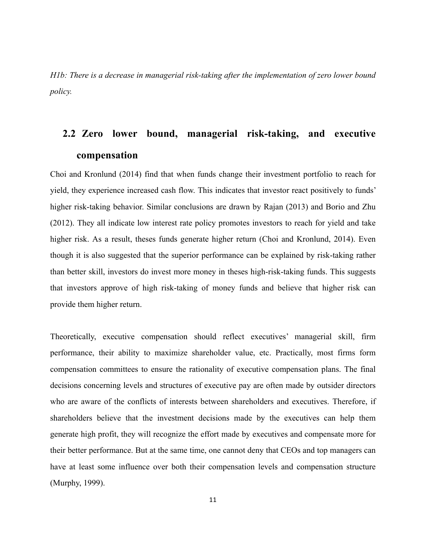*H1b: There is a decrease in managerial risk-taking after the implementation of zero lower bound policy.*

# **2.2 Zero lower bound, managerial risk-taking, and executive compensation**

Choi and Kronlund (2014) find that when funds change their investment portfolio to reach for yield, they experience increased cash flow. This indicates that investor react positively to funds' higher risk-taking behavior. Similar conclusions are drawn by Rajan (2013) and Borio and Zhu (2012). They all indicate low interest rate policy promotes investors to reach for yield and take higher risk. As a result, theses funds generate higher return (Choi and Kronlund, 2014). Even though it is also suggested that the superior performance can be explained by risk-taking rather than better skill, investors do invest more money in theses high-risk-taking funds. This suggests that investors approve of high risk-taking of money funds and believe that higher risk can provide them higher return.

Theoretically, executive compensation should reflect executives' managerial skill, firm performance, their ability to maximize shareholder value, etc. Practically, most firms form compensation committees to ensure the rationality of executive compensation plans. The final decisions concerning levels and structures of executive pay are often made by outsider directors who are aware of the conflicts of interests between shareholders and executives. Therefore, if shareholders believe that the investment decisions made by the executives can help them generate high profit, they will recognize the effort made by executives and compensate more for their better performance. But at the same time, one cannot deny that CEOs and top managers can have at least some influence over both their compensation levels and compensation structure (Murphy, 1999).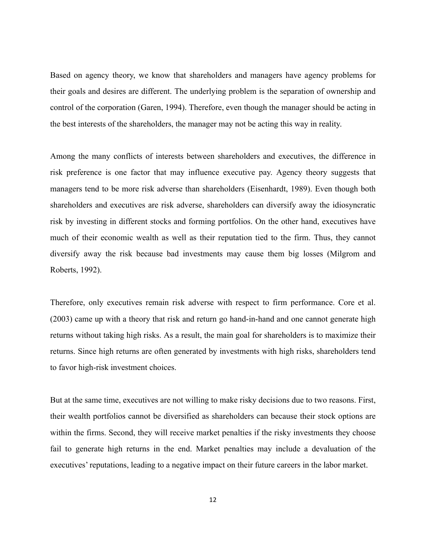Based on agency theory, we know that shareholders and managers have agency problems for their goals and desires are different. The underlying problem is the separation of ownership and control of the corporation (Garen, 1994). Therefore, even though the manager should be acting in the best interests of the shareholders, the manager may not be acting this way in reality.

Among the many conflicts of interests between shareholders and executives, the difference in risk preference is one factor that may influence executive pay. Agency theory suggests that managers tend to be more risk adverse than shareholders (Eisenhardt, 1989). Even though both shareholders and executives are risk adverse, shareholders can diversify away the idiosyncratic risk by investing in different stocks and forming portfolios. On the other hand, executives have much of their economic wealth as well as their reputation tied to the firm. Thus, they cannot diversify away the risk because bad investments may cause them big losses (Milgrom and Roberts, 1992).

Therefore, only executives remain risk adverse with respect to firm performance. Core et al. (2003) came up with a theory that risk and return go hand-in-hand and one cannot generate high returns without taking high risks. As a result, the main goal for shareholders is to maximize their returns. Since high returns are often generated by investments with high risks, shareholders tend to favor high-risk investment choices.

But at the same time, executives are not willing to make risky decisions due to two reasons. First, their wealth portfolios cannot be diversified as shareholders can because their stock options are within the firms. Second, they will receive market penalties if the risky investments they choose fail to generate high returns in the end. Market penalties may include a devaluation of the executives' reputations, leading to a negative impact on their future careers in the labor market.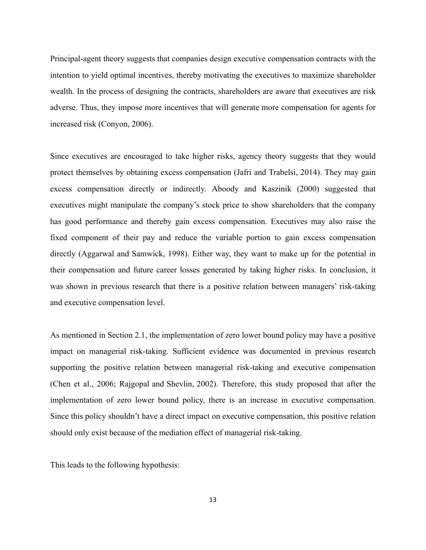Principal-agent theory suggests that companies design executive compensation contracts with the intention to yield optimal incentives, thereby motivating the executives to maximize shareholder wealth. In the process of designing the contracts, shareholders are aware that executives are risk adverse. Thus, they impose more incentives that will generate more compensation for agents for increased risk (Conyon, 2006).

Since executives are encouraged to take higher risks, agency theory suggests that they would protect themselves by obtaining excess compensation (Jafri and Trabelsi, 2014). They may gain excess compensation directly or indirectly. Aboody and Kaszinik (2000) suggested that executives might manipulate the company's stock price to show shareholders that the company has good performance and thereby gain excess compensation. Executives may also raise the fixed component of their pay and reduce the variable portion to gain excess compensation directly (Aggarwal and Samwick, 1998). Either way, they want to make up for the potential in their compensation and future career losses generated by taking higher risks. In conclusion, it was shown in previous research that there is a positive relation between managers' risk-taking and executive compensation level.

As mentioned in Section 2.1, the implementation of zero lower bound policy may have a positive impact on managerial risk-taking. Sufficient evidence was documented in previous research supporting the positive relation between managerial risk-taking and executive compensation (Chen et al., 2006; Rajgopal and Shevlin, 2002). Therefore, this study proposed that after the implementation of zero lower bound policy, there is an increase in executive compensation. Since this policy shouldn't have a direct impact on executive compensation, this positive relation should only exist because of the mediation effect of managerial risk-taking.

This leads to the following hypothesis: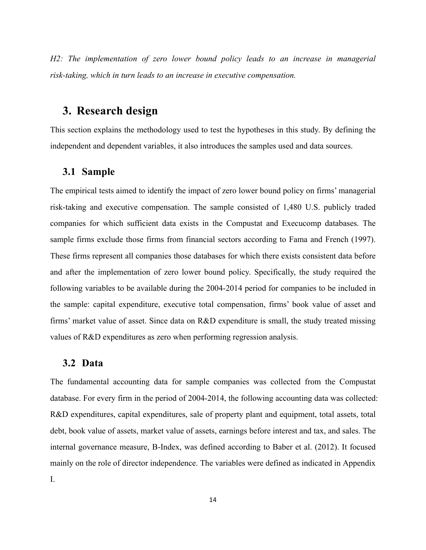*H2: The implementation of zero lower bound policy leads to an increase in managerial risk-taking, which in turn leads to an increase in executive compensation.*

# **3. Research design**

This section explains the methodology used to test the hypotheses in this study. By defining the independent and dependent variables, it also introduces the samples used and data sources.

### **3.1 Sample**

The empirical tests aimed to identify the impact of zero lower bound policy on firms' managerial risk-taking and executive compensation. The sample consisted of 1,480 U.S. publicly traded companies for which sufficient data exists in the Compustat and Execucomp databases. The sample firms exclude those firms from financial sectors according to Fama and French (1997). These firms represent all companies those databases for which there exists consistent data before and after the implementation of zero lower bound policy. Specifically, the study required the following variables to be available during the 2004-2014 period for companies to be included in the sample: capital expenditure, executive total compensation, firms' book value of asset and firms' market value of asset. Since data on R&D expenditure is small, the study treated missing values of R&D expenditures as zero when performing regression analysis.

### **3.2 Data**

The fundamental accounting data for sample companies was collected from the Compustat database. For every firm in the period of 2004-2014, the following accounting data was collected: R&D expenditures, capital expenditures, sale of property plant and equipment, total assets, total debt, book value of assets, market value of assets, earnings before interest and tax, and sales. The internal governance measure, B-Index, was defined according to Baber et al. (2012). It focused mainly on the role of director independence. The variables were defined as indicated in Appendix I.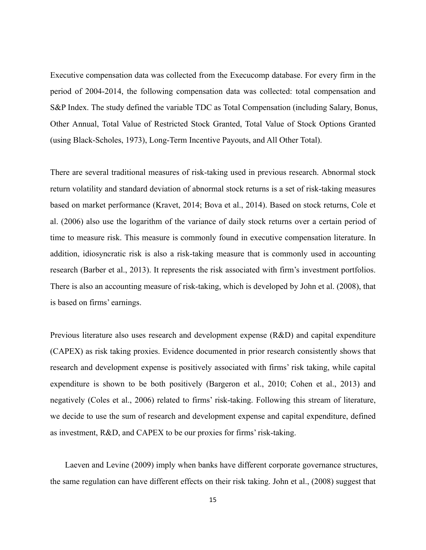Executive compensation data was collected from the Execucomp database. For every firm in the period of 2004-2014, the following compensation data was collected: total compensation and S&P Index. The study defined the variable TDC as Total Compensation (including Salary, Bonus, Other Annual, Total Value of Restricted Stock Granted, Total Value of Stock Options Granted (using Black-Scholes, 1973), Long-Term Incentive Payouts, and All Other Total).

There are several traditional measures of risk-taking used in previous research. Abnormal stock return volatility and standard deviation of abnormal stock returns is a set of risk-taking measures based on market performance (Kravet, 2014; Bova et al., 2014). Based on stock returns, Cole et al. (2006) also use the logarithm of the variance of daily stock returns over a certain period of time to measure risk. This measure is commonly found in executive compensation literature. In addition, idiosyncratic risk is also a risk-taking measure that is commonly used in accounting research (Barber et al., 2013). It represents the risk associated with firm's investment portfolios. There is also an accounting measure of risk-taking, which is developed by John et al. (2008), that is based on firms' earnings.

Previous literature also uses research and development expense (R&D) and capital expenditure (CAPEX) as risk taking proxies. Evidence documented in prior research consistently shows that research and development expense is positively associated with firms' risk taking, while capital expenditure is shown to be both positively (Bargeron et al., 2010; Cohen et al., 2013) and negatively (Coles et al., 2006) related to firms' risk-taking. Following this stream of literature, we decide to use the sum of research and development expense and capital expenditure, defined as investment, R&D, and CAPEX to be our proxies for firms' risk-taking.

Laeven and Levine (2009) imply when banks have different corporate governance structures, the same regulation can have different effects on their risk taking. John et al., (2008) suggest that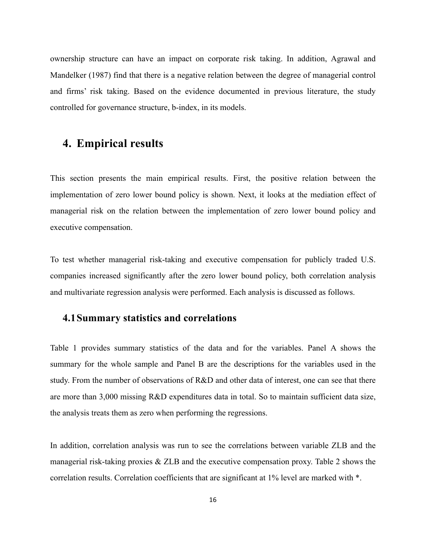ownership structure can have an impact on corporate risk taking. In addition, Agrawal and Mandelker (1987) find that there is a negative relation between the degree of managerial control and firms' risk taking. Based on the evidence documented in previous literature, the study controlled for governance structure, b-index, in its models.

# **4. Empirical results**

This section presents the main empirical results. First, the positive relation between the implementation of zero lower bound policy is shown. Next, it looks at the mediation effect of managerial risk on the relation between the implementation of zero lower bound policy and executive compensation.

To test whether managerial risk-taking and executive compensation for publicly traded U.S. companies increased significantly after the zero lower bound policy, both correlation analysis and multivariate regression analysis were performed. Each analysis is discussed as follows.

## **4.1Summary statistics and correlations**

Table 1 provides summary statistics of the data and for the variables. Panel A shows the summary for the whole sample and Panel B are the descriptions for the variables used in the study. From the number of observations of R&D and other data of interest, one can see that there are more than 3,000 missing R&D expenditures data in total. So to maintain sufficient data size, the analysis treats them as zero when performing the regressions.

In addition, correlation analysis was run to see the correlations between variable ZLB and the managerial risk-taking proxies & ZLB and the executive compensation proxy. Table 2 shows the correlation results. Correlation coefficients that are significant at 1% level are marked with \*.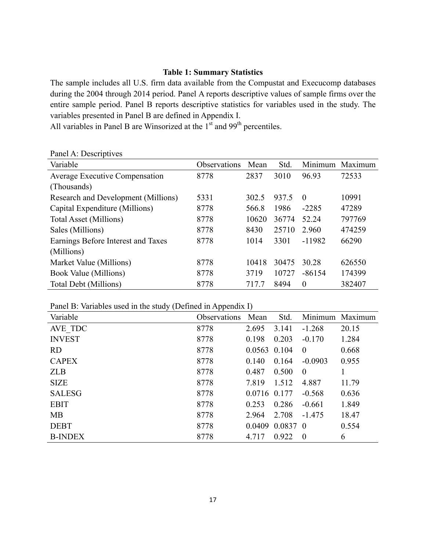#### **Table 1: Summary Statistics**

The sample includes all U.S. firm data available from the Compustat and Execucomp databases during the 2004 through 2014 period. Panel A reports descriptive values of sample firms over the entire sample period. Panel B reports descriptive statistics for variables used in the study. The variables presented in Panel B are defined in Appendix I.

All variables in Panel B are Winsorized at the  $1<sup>st</sup>$  and 99<sup>th</sup> percentiles.

| л.<br>Variable                        | Observations | Mean  | Std.  | Minimum      | Maximum |
|---------------------------------------|--------------|-------|-------|--------------|---------|
| <b>Average Executive Compensation</b> | 8778         | 2837  | 3010  | 96.93        | 72533   |
| (Thousands)                           |              |       |       |              |         |
| Research and Development (Millions)   | 5331         | 302.5 | 937.5 | $\Omega$     | 10991   |
| Capital Expenditure (Millions)        | 8778         | 566.8 | 1986  | $-2285$      | 47289   |
| Total Asset (Millions)                | 8778         | 10620 | 36774 | 52.24        | 797769  |
| Sales (Millions)                      | 8778         | 8430  | 25710 | 2.960        | 474259  |
| Earnings Before Interest and Taxes    | 8778         | 1014  | 3301  | $-11982$     | 66290   |
| (Millions)                            |              |       |       |              |         |
| Market Value (Millions)               | 8778         | 10418 | 30475 | 30.28        | 626550  |
| Book Value (Millions)                 | 8778         | 3719  | 10727 | $-86154$     | 174399  |
| Total Debt (Millions)                 | 8778         | 717.7 | 8494  | $\mathbf{0}$ | 382407  |

Panel A: Descriptives

Panel B: Variables used in the study (Defined in Appendix I)

| $\sim$ $\sim$<br>Variable | . .<br>Observations | Mean         | Std.       |                | Minimum Maximum |
|---------------------------|---------------------|--------------|------------|----------------|-----------------|
| AVE TDC                   | 8778                | 2.695        | 3.141      | $-1.268$       | 20.15           |
| <b>INVEST</b>             | 8778                | 0.198        | 0.203      | $-0.170$       | 1.284           |
| <b>RD</b>                 | 8778                | 0.0563 0.104 |            | $\theta$       | 0.668           |
| <b>CAPEX</b>              | 8778                | 0.140        | 0.164      | $-0.0903$      | 0.955           |
| <b>ZLB</b>                | 8778                | 0.487        | 0.500      | $\overline{0}$ |                 |
| <b>SIZE</b>               | 8778                | 7.819        | 1.512      | 4.887          | 11.79           |
| <b>SALESG</b>             | 8778                | 0.0716 0.177 |            | $-0.568$       | 0.636           |
| <b>EBIT</b>               | 8778                | 0.253        | 0.286      | $-0.661$       | 1.849           |
| MB                        | 8778                | 2.964        | 2.708      | $-1.475$       | 18.47           |
| <b>DEBT</b>               | 8778                | 0.0409       | $0.0837$ 0 |                | 0.554           |
| <b>B-INDEX</b>            | 8778                | 4.717        | 0.922      | $\overline{0}$ | 6               |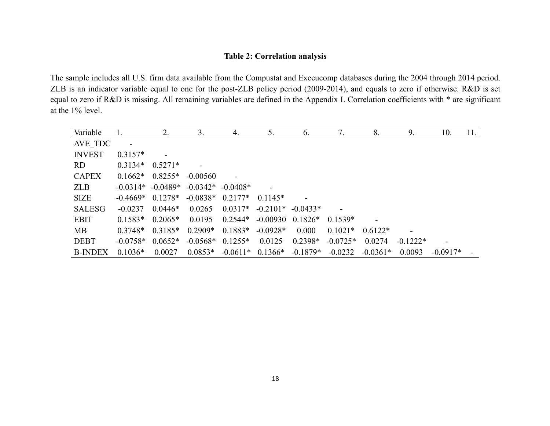#### **Table 2: Correlation analysis**

The sample includes all U.S. firm data available from the Compustat and Execucomp databases during the 2004 through 2014 period. ZLB is an indicator variable equal to one for the post-ZLB policy period (2009-2014), and equals to zero if otherwise. R&D is set equal to zero if R&D is missing. All remaining variables are defined in the Appendix I. Correlation coefficients with \* are significant at the 1% level.

| Variable       |            | 2.                    | 3.                  | 4.             | 5.         | 6 <sub>1</sub> | 7.         | 8.         | 9.         | 10.        | 11. |
|----------------|------------|-----------------------|---------------------|----------------|------------|----------------|------------|------------|------------|------------|-----|
| AVE TDC        |            |                       |                     |                |            |                |            |            |            |            |     |
| <b>INVEST</b>  | $0.3157*$  |                       |                     |                |            |                |            |            |            |            |     |
| RD.            | $0.3134*$  | $0.5271*$             |                     |                |            |                |            |            |            |            |     |
| <b>CAPEX</b>   | $0.1662*$  | $0.8255*$             | $-0.00560$          | $\blacksquare$ |            |                |            |            |            |            |     |
| <b>ZLB</b>     |            | $-0.0314*$ $-0.0489*$ | $-0.0342* -0.0408*$ |                |            |                |            |            |            |            |     |
| <b>SIZE</b>    | $-0.4669*$ | $0.1278*$             | $-0.0838*$          | $0.2177*$      | $0.1145*$  |                |            |            |            |            |     |
| <b>SALESG</b>  | $-0.0237$  | $0.0446*$             | 0.0265              | $0.0317*$      | $-0.2101*$ | $-0.0433*$     |            |            |            |            |     |
| <b>EBIT</b>    | $0.1583*$  | $0.2065*$             | 0.0195              | $0.2544*$      | $-0.00930$ | $0.1826*$      | $0.1539*$  |            |            |            |     |
| MB             | $0.3748*$  | $0.3185*$             | $0.2909*$           | $0.1883*$      | $-0.0928*$ | 0.000          | $0.1021*$  | $0.6122*$  |            |            |     |
| <b>DEBT</b>    | $-0.0758*$ | $0.0652*$             | $-0.0568*$ 0.1255*  |                | 0.0125     | $0.2398*$      | $-0.0725*$ | 0.0274     | $-0.1222*$ |            |     |
| <b>B-INDEX</b> | $0.1036*$  | 0.0027                | $0.0853*$           | $-0.0611*$     | $0.1366*$  | $-0.1879*$     | $-0.0232$  | $-0.0361*$ | 0.0093     | $-0.0917*$ |     |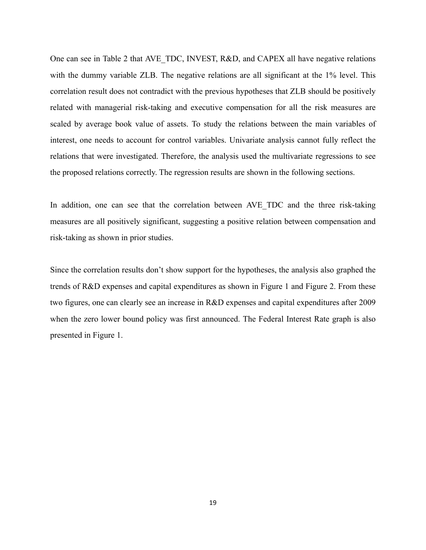One can see in Table 2 that AVE\_TDC, INVEST, R&D, and CAPEX all have negative relations with the dummy variable ZLB. The negative relations are all significant at the 1% level. This correlation result does not contradict with the previous hypotheses that ZLB should be positively related with managerial risk-taking and executive compensation for all the risk measures are scaled by average book value of assets. To study the relations between the main variables of interest, one needs to account for control variables. Univariate analysis cannot fully reflect the relations that were investigated. Therefore, the analysis used the multivariate regressions to see the proposed relations correctly. The regression results are shown in the following sections.

In addition, one can see that the correlation between AVE TDC and the three risk-taking measures are all positively significant, suggesting a positive relation between compensation and risk-taking as shown in prior studies.

Since the correlation results don't show support for the hypotheses, the analysis also graphed the trends of R&D expenses and capital expenditures as shown in Figure 1 and Figure 2. From these two figures, one can clearly see an increase in R&D expenses and capital expenditures after 2009 when the zero lower bound policy was first announced. The Federal Interest Rate graph is also presented in Figure 1.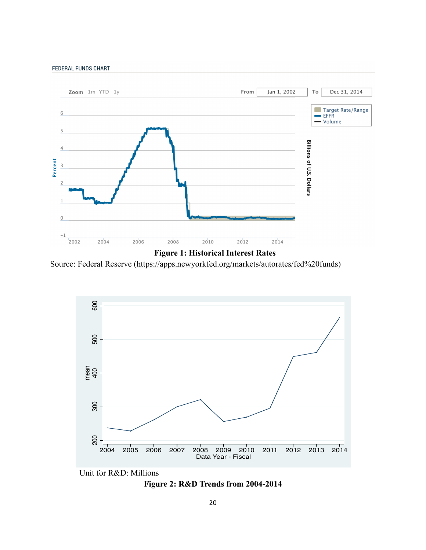



Source: Federal Reserve (https://apps.newyorkfed.org/markets/autorates/fed%20funds)





**Figure 2: R&D Trends from 2004-2014**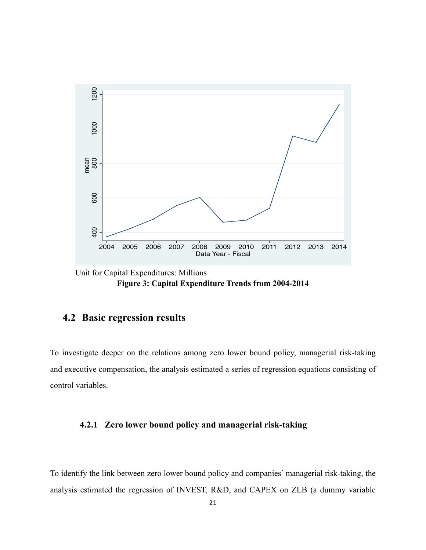

 Unit for Capital Expenditures: Millions **Figure 3: Capital Expenditure Trends from 2004-2014**

## **4.2 Basic regression results**

To investigate deeper on the relations among zero lower bound policy, managerial risk-taking and executive compensation, the analysis estimated a series of regression equations consisting of control variables.

### **4.2.1 Zero lower bound policy and managerial risk-taking**

To identify the link between zero lower bound policy and companies' managerial risk-taking, the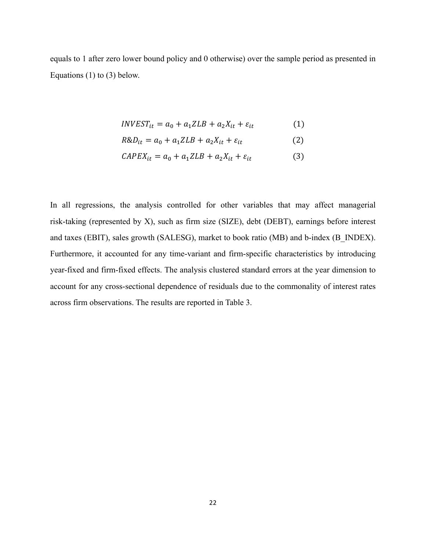equals to 1 after zero lower bound policy and 0 otherwise) over the sample period as presented in Equations (1) to (3) below.

$$
INVEST_{it} = a_0 + a_1 ZLB + a_2 X_{it} + \varepsilon_{it}
$$
 (1)

$$
R\&D_{it} = a_0 + a_1 ZLB + a_2 X_{it} + \varepsilon_{it}
$$
 (2)

$$
CAPEX_{it} = a_0 + a_1 ZLB + a_2 X_{it} + \varepsilon_{it}
$$
 (3)

In all regressions, the analysis controlled for other variables that may affect managerial risk-taking (represented by X), such as firm size (SIZE), debt (DEBT), earnings before interest and taxes (EBIT), sales growth (SALESG), market to book ratio (MB) and b-index (B\_INDEX). Furthermore, it accounted for any time-variant and firm-specific characteristics by introducing year-fixed and firm-fixed effects. The analysis clustered standard errors at the year dimension to account for any cross-sectional dependence of residuals due to the commonality of interest rates across firm observations. The results are reported in Table 3.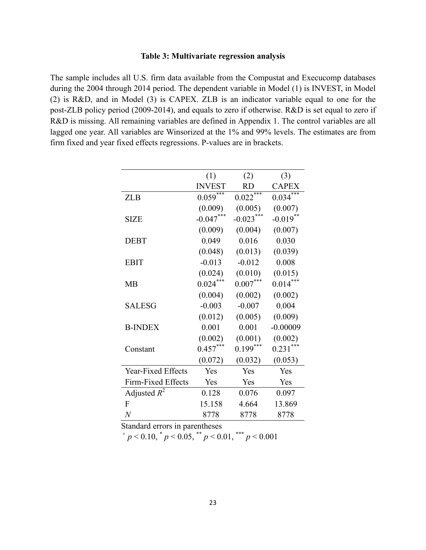#### **Table 3: Multivariate regression analysis**

The sample includes all U.S. firm data available from the Compustat and Execucomp databases during the 2004 through 2014 period. The dependent variable in Model (1) is INVEST, in Model (2) is R&D, and in Model (3) is CAPEX. ZLB is an indicator variable equal to one for the post-ZLB policy period (2009-2014), and equals to zero if otherwise. R&D is set equal to zero if R&D is missing. All remaining variables are defined in Appendix 1. The control variables are all lagged one year. All variables are Winsorized at the 1% and 99% levels. The estimates are from firm fixed and year fixed effects regressions. P-values are in brackets.

| (1)           | (2)                                                               | (3)                                     |
|---------------|-------------------------------------------------------------------|-----------------------------------------|
| <b>INVEST</b> | <b>RD</b>                                                         | <b>CAPEX</b>                            |
|               |                                                                   | 0.034                                   |
| (0.009)       | (0.005)                                                           | (0.007)                                 |
|               |                                                                   | $-0.019$ <sup>*</sup>                   |
| (0.009)       | (0.004)                                                           | (0.007)                                 |
| 0.049         | 0.016                                                             | 0.030                                   |
| (0.048)       | (0.013)                                                           | (0.039)                                 |
| $-0.013$      | $-0.012$                                                          | 0.008                                   |
| (0.024)       | (0.010)                                                           | (0.015)                                 |
|               | $0.007***$                                                        | 0.014                                   |
| (0.004)       | (0.002)                                                           | (0.002)                                 |
| $-0.003$      | $-0.007$                                                          | 0.004                                   |
| (0.012)       | (0.005)                                                           | (0.009)                                 |
| 0.001         | 0.001                                                             | $-0.00009$                              |
| (0.002)       | (0.001)                                                           | (0.002)                                 |
|               |                                                                   | $0.231$ <sup>*</sup>                    |
| (0.072)       | (0.032)                                                           | (0.053)                                 |
| Yes           | Yes                                                               | Yes                                     |
| Yes           | Yes                                                               | Yes                                     |
| 0.128         | 0.076                                                             | 0.097                                   |
| 15.158        | 4.664                                                             | 13.869                                  |
| 8778          | 8778                                                              | 8778                                    |
|               | $0.059$ <sup>***</sup><br>$-0.047***$<br>$0.024***$<br>$0.457***$ | $0.022***$<br>$-0.023***$<br>$0.199***$ |

Standard errors in parentheses<br>  $^{+}p < 0.10, ^{*}p < 0.05, ^{**}p < 0.01, ^{***}p < 0.001$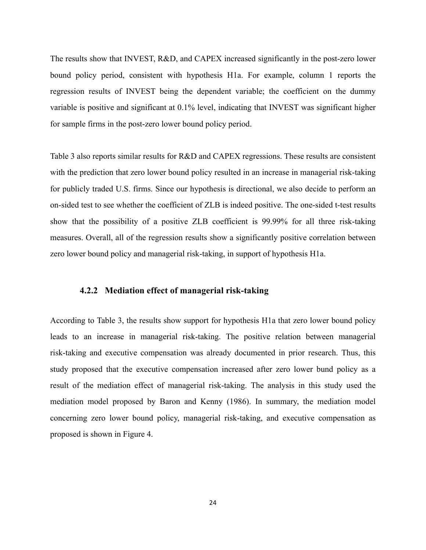The results show that INVEST, R&D, and CAPEX increased significantly in the post-zero lower bound policy period, consistent with hypothesis H1a. For example, column 1 reports the regression results of INVEST being the dependent variable; the coefficient on the dummy variable is positive and significant at 0.1% level, indicating that INVEST was significant higher for sample firms in the post-zero lower bound policy period.

Table 3 also reports similar results for R&D and CAPEX regressions. These results are consistent with the prediction that zero lower bound policy resulted in an increase in managerial risk-taking for publicly traded U.S. firms. Since our hypothesis is directional, we also decide to perform an on-sided test to see whether the coefficient of ZLB is indeed positive. The one-sided t-test results show that the possibility of a positive ZLB coefficient is 99.99% for all three risk-taking measures. Overall, all of the regression results show a significantly positive correlation between zero lower bound policy and managerial risk-taking, in support of hypothesis H1a.

#### **4.2.2 Mediation effect of managerial risk-taking**

According to Table 3, the results show support for hypothesis H1a that zero lower bound policy leads to an increase in managerial risk-taking. The positive relation between managerial risk-taking and executive compensation was already documented in prior research. Thus, this study proposed that the executive compensation increased after zero lower bund policy as a result of the mediation effect of managerial risk-taking. The analysis in this study used the mediation model proposed by Baron and Kenny (1986). In summary, the mediation model concerning zero lower bound policy, managerial risk-taking, and executive compensation as proposed is shown in Figure 4.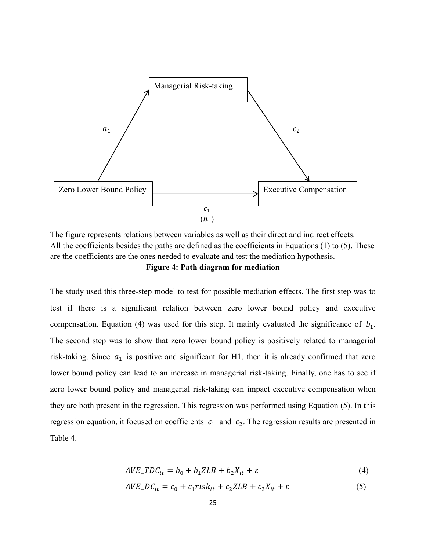

The figure represents relations between variables as well as their direct and indirect effects. +All the coefficients besides the paths are defined as the coefficients in Equations (1) to (5). These are the coefficients are the ones needed to evaluate and test the mediation hypothesis.

**Figure 4: Path diagram for mediation**

The study used this three-step model to test for possible mediation effects. The first step was to test if there is a significant relation between zero lower bound policy and executive compensation. Equation (4) was used for this step. It mainly evaluated the significance of  $b_1$ . The second step was to show that zero lower bound policy is positively related to managerial risk-taking. Since  $a_1$  is positive and significant for H1, then it is already confirmed that zero lower bound policy can lead to an increase in managerial risk-taking. Finally, one has to see if zero lower bound policy and managerial risk-taking can impact executive compensation when they are both present in the regression. This regression was performed using Equation (5). In this regression equation, it focused on coefficients  $c_1$  and  $c_2$ . The regression results are presented in Table 4.

$$
AVE\_TDC_{it} = b_0 + b_1ZLB + b_2X_{it} + \varepsilon
$$
\n<sup>(4)</sup>

$$
AVE\_DC_{it} = c_0 + c_1 risk_{it} + c_2 ZLB + c_3 X_{it} + \varepsilon
$$
\n<sup>(5)</sup>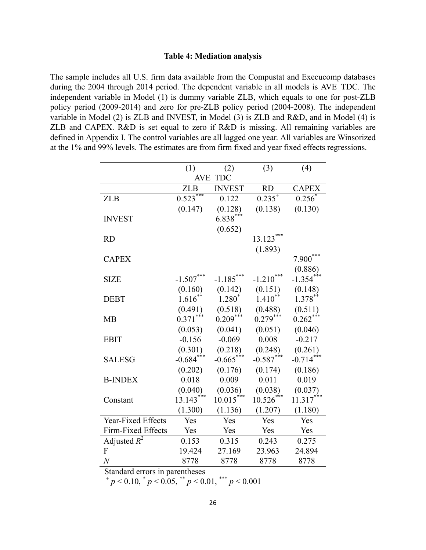#### **Table 4: Mediation analysis**

The sample includes all U.S. firm data available from the Compustat and Execucomp databases during the 2004 through 2014 period. The dependent variable in all models is AVE\_TDC. The independent variable in Model (1) is dummy variable ZLB, which equals to one for post-ZLB policy period (2009-2014) and zero for pre-ZLB policy period (2004-2008). The independent variable in Model (2) is ZLB and INVEST, in Model (3) is ZLB and R&D, and in Model (4) is ZLB and CAPEX. R&D is set equal to zero if R&D is missing. All remaining variables are defined in Appendix I. The control variables are all lagged one year. All variables are Winsorized at the 1% and 99% levels. The estimates are from firm fixed and year fixed effects regressions.

|                    | (1)         | (2)           | (3)             | (4)          |
|--------------------|-------------|---------------|-----------------|--------------|
|                    | <b>AVE</b>  | <b>TDC</b>    |                 |              |
|                    | <b>ZLB</b>  | <b>INVEST</b> | <b>RD</b>       | <b>CAPEX</b> |
| <b>ZLB</b>         | $0.523***$  | 0.122         | $0.235^{+}$     | $0.256^*$    |
|                    | (0.147)     | (0.128)       | (0.138)         | (0.130)      |
| <b>INVEST</b>      |             | $6.838***$    |                 |              |
|                    |             | (0.652)       |                 |              |
| <b>RD</b>          |             |               | $13.123***$     |              |
|                    |             |               | (1.893)         |              |
| <b>CAPEX</b>       |             |               |                 | 7.900        |
|                    |             |               |                 | (0.886)      |
| <b>SIZE</b>        | $-1.507***$ | $-1.185***$   | ***<br>$-1.210$ | $-1.354***$  |
|                    | (0.160)     | (0.142)       | (0.151)         | (0.148)      |
| <b>DEBT</b>        | $1.616^*$   | 1.280         | $1.410^{**}$    | $1.378***$   |
|                    | (0.491)     | (0.518)       | (0.488)         | (0.511)      |
| <b>MB</b>          | $0.371***$  | $0.209***$    | $0.279***$      | $0.262***$   |
|                    | (0.053)     | (0.041)       | (0.051)         | (0.046)      |
| <b>EBIT</b>        | $-0.156$    | $-0.069$      | 0.008           | $-0.217$     |
|                    | (0.301)     | (0.218)       | (0.248)         | (0.261)      |
| <b>SALESG</b>      | $-0.684***$ | $-0.665***$   | $-0.587***$     | $-0.714***$  |
|                    | (0.202)     | (0.176)       | (0.174)         | (0.186)      |
| <b>B-INDEX</b>     | 0.018       | 0.009         | 0.011           | 0.019        |
|                    | (0.040)     | (0.036)       | (0.038)         | (0.037)      |
| Constant           | $13.143***$ | $10.015***$   | 10.526          | $11.317***$  |
|                    | (1.300)     | (1.136)       | (1.207)         | (1.180)      |
| Year-Fixed Effects | Yes         | Yes           | Yes             | Yes          |
| Firm-Fixed Effects | Yes         | Yes           | Yes             | Yes          |
| Adjusted $R^2$     | 0.153       | 0.315         | 0.243           | 0.275        |
| F                  | 19.424      | 27.169        | 23.963          | 24.894       |
| $\boldsymbol{N}$   | 8778        | 8778          | 8778            | 8778         |

Standard errors in parentheses<br>  $^{+}p < 0.10, ^{*}p < 0.05, ^{*}p < 0.01, ^{***}p < 0.001$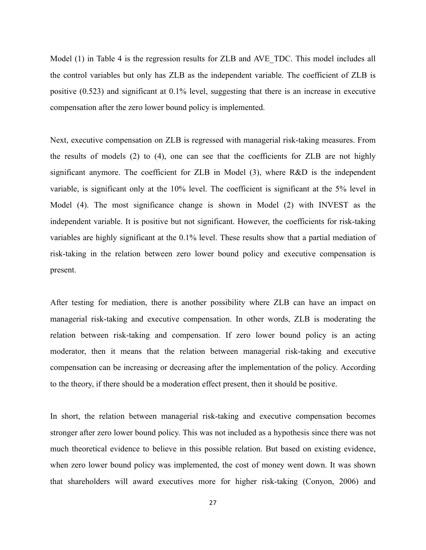Model (1) in Table 4 is the regression results for ZLB and AVE TDC. This model includes all the control variables but only has ZLB as the independent variable. The coefficient of ZLB is positive (0.523) and significant at 0.1% level, suggesting that there is an increase in executive compensation after the zero lower bound policy is implemented.

Next, executive compensation on ZLB is regressed with managerial risk-taking measures. From the results of models (2) to (4), one can see that the coefficients for ZLB are not highly significant anymore. The coefficient for ZLB in Model (3), where R&D is the independent variable, is significant only at the 10% level. The coefficient is significant at the 5% level in Model (4). The most significance change is shown in Model (2) with INVEST as the independent variable. It is positive but not significant. However, the coefficients for risk-taking variables are highly significant at the 0.1% level. These results show that a partial mediation of risk-taking in the relation between zero lower bound policy and executive compensation is present.

After testing for mediation, there is another possibility where ZLB can have an impact on managerial risk-taking and executive compensation. In other words, ZLB is moderating the relation between risk-taking and compensation. If zero lower bound policy is an acting moderator, then it means that the relation between managerial risk-taking and executive compensation can be increasing or decreasing after the implementation of the policy. According to the theory, if there should be a moderation effect present, then it should be positive.

In short, the relation between managerial risk-taking and executive compensation becomes stronger after zero lower bound policy. This was not included as a hypothesis since there was not much theoretical evidence to believe in this possible relation. But based on existing evidence, when zero lower bound policy was implemented, the cost of money went down. It was shown that shareholders will award executives more for higher risk-taking (Conyon, 2006) and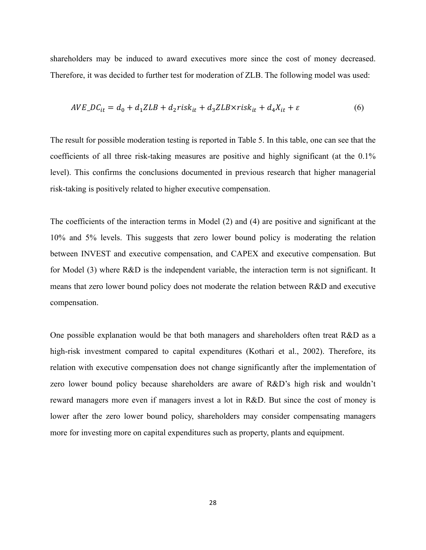shareholders may be induced to award executives more since the cost of money decreased. Therefore, it was decided to further test for moderation of ZLB. The following model was used:

$$
AVE\_DC_{it} = d_0 + d_1ZLB + d_2risk_{it} + d_3ZLB \times risk_{it} + d_4X_{it} + \varepsilon
$$
\n
$$
\tag{6}
$$

The result for possible moderation testing is reported in Table 5. In this table, one can see that the coefficients of all three risk-taking measures are positive and highly significant (at the 0.1% level). This confirms the conclusions documented in previous research that higher managerial risk-taking is positively related to higher executive compensation.

The coefficients of the interaction terms in Model (2) and (4) are positive and significant at the 10% and 5% levels. This suggests that zero lower bound policy is moderating the relation between INVEST and executive compensation, and CAPEX and executive compensation. But for Model (3) where R&D is the independent variable, the interaction term is not significant. It means that zero lower bound policy does not moderate the relation between R&D and executive compensation.

One possible explanation would be that both managers and shareholders often treat R&D as a high-risk investment compared to capital expenditures (Kothari et al., 2002). Therefore, its relation with executive compensation does not change significantly after the implementation of zero lower bound policy because shareholders are aware of R&D's high risk and wouldn't reward managers more even if managers invest a lot in R&D. But since the cost of money is lower after the zero lower bound policy, shareholders may consider compensating managers more for investing more on capital expenditures such as property, plants and equipment.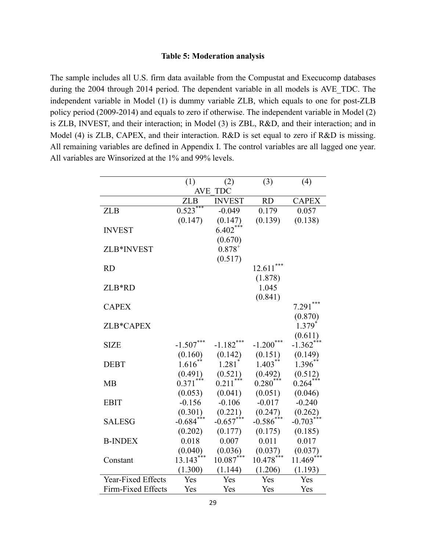#### **Table 5: Moderation analysis**

The sample includes all U.S. firm data available from the Compustat and Execucomp databases during the 2004 through 2014 period. The dependent variable in all models is AVE\_TDC. The independent variable in Model (1) is dummy variable ZLB, which equals to one for post-ZLB policy period (2009-2014) and equals to zero if otherwise. The independent variable in Model (2) is ZLB, INVEST, and their interaction; in Model (3) is ZBL, R&D, and their interaction; and in Model (4) is ZLB, CAPEX, and their interaction. R&D is set equal to zero if R&D is missing. All remaining variables are defined in Appendix I. The control variables are all lagged one year. All variables are Winsorized at the 1% and 99% levels.

|                    | (1)                   | (2)                  | (3)          | (4)                     |
|--------------------|-----------------------|----------------------|--------------|-------------------------|
|                    | <b>AVE</b>            | <b>TDC</b>           |              |                         |
|                    | ZLB                   | <b>INVEST</b>        | <b>RD</b>    | <b>CAPEX</b>            |
| <b>ZLB</b>         | $0.523***$            | $-0.049$             | 0.179        | 0.057                   |
|                    | (0.147)               | (0.147)              | (0.139)      | (0.138)                 |
| <b>INVEST</b>      |                       | $6.402***$           |              |                         |
|                    |                       | (0.670)              |              |                         |
| ZLB*INVEST         |                       | $0.878^{+}$          |              |                         |
|                    |                       | (0.517)              |              |                         |
| <b>RD</b>          |                       |                      | 12.611       |                         |
|                    |                       |                      | (1.878)      |                         |
| ZLB*RD             |                       |                      | 1.045        |                         |
|                    |                       |                      | (0.841)      |                         |
| <b>CAPEX</b>       |                       |                      |              | $7.291***$              |
|                    |                       |                      |              | (0.870)                 |
| ZLB*CAPEX          |                       |                      |              | $1.379^{*}$             |
|                    |                       |                      |              | (0.611)                 |
| <b>SIZE</b>        | $-1.507***$           | $-1.182***$          | $-1.200$ *** | $-1.362$ <sup>***</sup> |
|                    | (0.160)               | (0.142)              | (0.151)      | (0.149)                 |
| <b>DEBT</b>        | $1.616$ <sup>**</sup> | $1.281$ <sup>*</sup> | $1.403**$    | $1.396**$               |
|                    | (0.491)               | (0.521)              | (0.492)      | (0.512)                 |
| <b>MB</b>          | $0.371***$            | 0.211                | $0.280^{*}$  | 0.264                   |
|                    | (0.053)               | (0.041)              | (0.051)      | (0.046)                 |
| <b>EBIT</b>        | $-0.156$              | $-0.106$             | $-0.017$     | $-0.240$                |
|                    | (0.301)               | (0.221)              | (0.247)      | (0.262)                 |
| <b>SALESG</b>      | $-0.684$ ***          | $-0.657$ ***         | $-0.586$ *** | $-0.703***$             |
|                    | (0.202)               | (0.177)              | (0.175)      | (0.185)                 |
| <b>B-INDEX</b>     | 0.018                 | 0.007                | 0.011        | 0.017                   |
|                    | (0.040)               | (0.036)              | (0.037)      | (0.037)                 |
| Constant           | $13.143***$           | $10.087***$          | $10.478***$  | $11.469***$             |
|                    | (1.300)               | (1.144)              | (1.206)      | (1.193)                 |
| Year-Fixed Effects | Yes                   | Yes                  | Yes          | Yes                     |
| Firm-Fixed Effects | Yes                   | Yes                  | Yes          | Yes                     |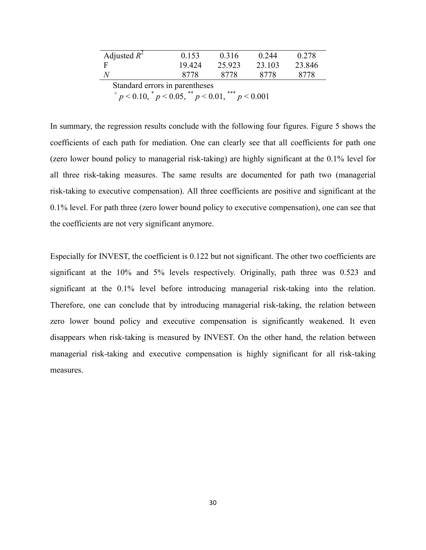| Adjusted $R^2$                 | 0.153 | 0.316   | 0244   | 0.278  |  |  |  |  |
|--------------------------------|-------|---------|--------|--------|--|--|--|--|
|                                | 19424 | 25 9 23 | 23 103 | 23.846 |  |  |  |  |
|                                | 8778  | 8778    | 8778   | 8778   |  |  |  |  |
| Standard errors in parentheses |       |         |        |        |  |  |  |  |

Standard errors in parentheses<br>  $^{+}p < 0.10, ^{*}p < 0.05, ^{**}p < 0.01, ^{***}p < 0.001$ 

In summary, the regression results conclude with the following four figures. Figure 5 shows the coefficients of each path for mediation. One can clearly see that all coefficients for path one (zero lower bound policy to managerial risk-taking) are highly significant at the 0.1% level for all three risk-taking measures. The same results are documented for path two (managerial risk-taking to executive compensation). All three coefficients are positive and significant at the 0.1% level. For path three (zero lower bound policy to executive compensation), one can see that the coefficients are not very significant anymore.

Especially for INVEST, the coefficient is 0.122 but not significant. The other two coefficients are significant at the 10% and 5% levels respectively. Originally, path three was 0.523 and significant at the 0.1% level before introducing managerial risk-taking into the relation. Therefore, one can conclude that by introducing managerial risk-taking, the relation between zero lower bound policy and executive compensation is significantly weakened. It even disappears when risk-taking is measured by INVEST. On the other hand, the relation between managerial risk-taking and executive compensation is highly significant for all risk-taking measures.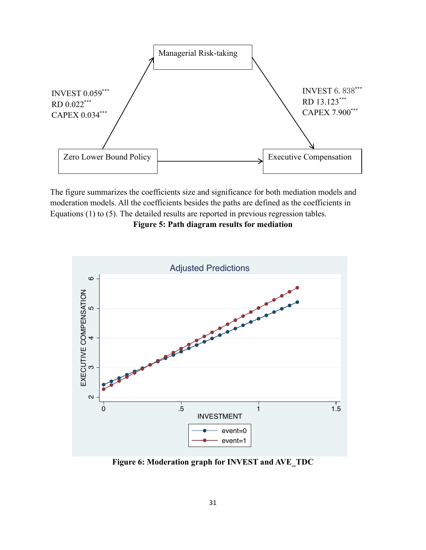

The figure summarizes the coefficients size and significance for both mediation models and moderation models. All the coefficients besides the paths are defined as the coefficients in Equations (1) to (5). The detailed results are reported in previous regression tables.

**Figure 5: Path diagram results for mediation**



**Figure 6: Moderation graph for INVEST and AVE\_TDC**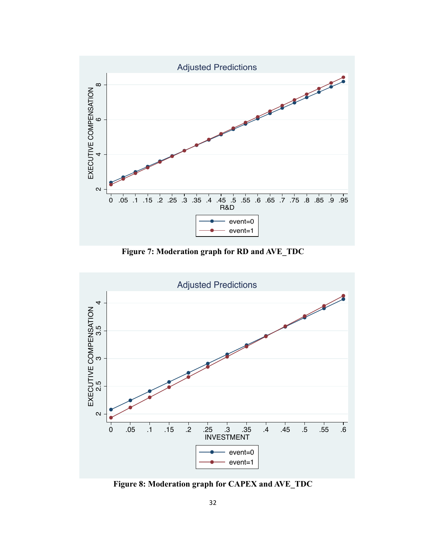

**Figure 7: Moderation graph for RD and AVE\_TDC**



**Figure 8: Moderation graph for CAPEX and AVE\_TDC**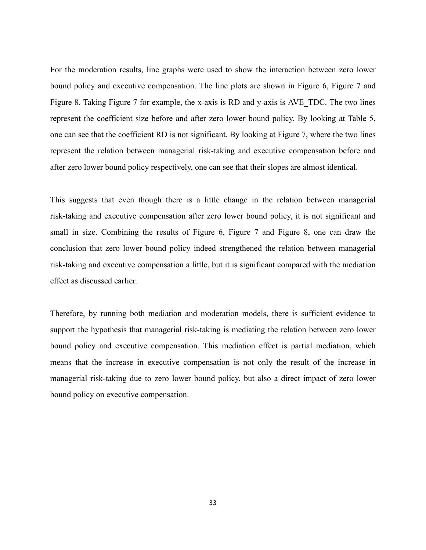For the moderation results, line graphs were used to show the interaction between zero lower bound policy and executive compensation. The line plots are shown in Figure 6, Figure 7 and Figure 8. Taking Figure 7 for example, the x-axis is RD and y-axis is AVE\_TDC. The two lines represent the coefficient size before and after zero lower bound policy. By looking at Table 5, one can see that the coefficient RD is not significant. By looking at Figure 7, where the two lines represent the relation between managerial risk-taking and executive compensation before and after zero lower bound policy respectively, one can see that their slopes are almost identical.

This suggests that even though there is a little change in the relation between managerial risk-taking and executive compensation after zero lower bound policy, it is not significant and small in size. Combining the results of Figure 6, Figure 7 and Figure 8, one can draw the conclusion that zero lower bound policy indeed strengthened the relation between managerial risk-taking and executive compensation a little, but it is significant compared with the mediation effect as discussed earlier.

Therefore, by running both mediation and moderation models, there is sufficient evidence to support the hypothesis that managerial risk-taking is mediating the relation between zero lower bound policy and executive compensation. This mediation effect is partial mediation, which means that the increase in executive compensation is not only the result of the increase in managerial risk-taking due to zero lower bound policy, but also a direct impact of zero lower bound policy on executive compensation.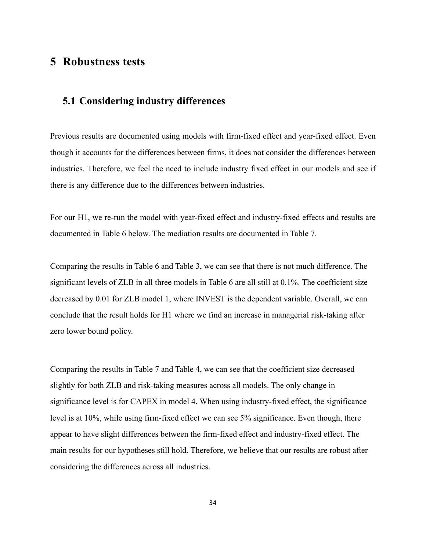## **5 Robustness tests**

# **5.1 Considering industry differences**

Previous results are documented using models with firm-fixed effect and year-fixed effect. Even though it accounts for the differences between firms, it does not consider the differences between industries. Therefore, we feel the need to include industry fixed effect in our models and see if there is any difference due to the differences between industries.

For our H1, we re-run the model with year-fixed effect and industry-fixed effects and results are documented in Table 6 below. The mediation results are documented in Table 7.

Comparing the results in Table 6 and Table 3, we can see that there is not much difference. The significant levels of ZLB in all three models in Table 6 are all still at 0.1%. The coefficient size decreased by 0.01 for ZLB model 1, where INVEST is the dependent variable. Overall, we can conclude that the result holds for H1 where we find an increase in managerial risk-taking after zero lower bound policy.

Comparing the results in Table 7 and Table 4, we can see that the coefficient size decreased slightly for both ZLB and risk-taking measures across all models. The only change in significance level is for CAPEX in model 4. When using industry-fixed effect, the significance level is at 10%, while using firm-fixed effect we can see 5% significance. Even though, there appear to have slight differences between the firm-fixed effect and industry-fixed effect. The main results for our hypotheses still hold. Therefore, we believe that our results are robust after considering the differences across all industries.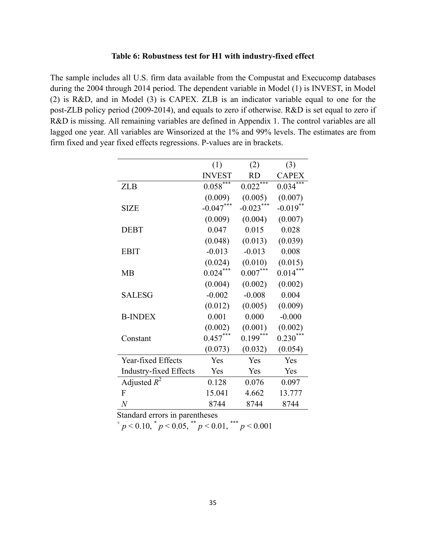#### **Table 6: Robustness test for H1 with industry-fixed effect**

The sample includes all U.S. firm data available from the Compustat and Execucomp databases during the 2004 through 2014 period. The dependent variable in Model (1) is INVEST, in Model (2) is R&D, and in Model (3) is CAPEX. ZLB is an indicator variable equal to one for the post-ZLB policy period (2009-2014), and equals to zero if otherwise. R&D is set equal to zero if R&D is missing. All remaining variables are defined in Appendix 1. The control variables are all lagged one year. All variables are Winsorized at the 1% and 99% levels. The estimates are from firm fixed and year fixed effects regressions. P-values are in brackets.

|                               | (1)                    | (2)         | (3)          |
|-------------------------------|------------------------|-------------|--------------|
|                               | <b>INVEST</b>          | <b>RD</b>   | <b>CAPEX</b> |
| <b>ZLB</b>                    | $0.058$ <sup>***</sup> | $0.022***$  | $0.034***$   |
|                               | (0.009)                | (0.005)     | (0.007)      |
| <b>SIZE</b>                   | $-0.047***$            | $-0.023***$ | $-0.019$ **  |
|                               | (0.009)                | (0.004)     | (0.007)      |
| <b>DEBT</b>                   | 0.047                  | 0.015       | 0.028        |
|                               | (0.048)                | (0.013)     | (0.039)      |
| <b>EBIT</b>                   | $-0.013$               | $-0.013$    | 0.008        |
|                               | (0.024)                | (0.010)     | (0.015)      |
| <b>MB</b>                     | $0.024***$             | $0.007***$  | $0.014***$   |
|                               | (0.004)                | (0.002)     | (0.002)      |
| <b>SALESG</b>                 | $-0.002$               | $-0.008$    | 0.004        |
|                               | (0.012)                | (0.005)     | (0.009)      |
| <b>B-INDEX</b>                | 0.001                  | 0.000       | $-0.000$     |
|                               | (0.002)                | (0.001)     | (0.002)      |
| Constant                      | $0.457***$             | $0.199***$  | $0.230***$   |
|                               | (0.073)                | (0.032)     | (0.054)      |
| Year-fixed Effects            | Yes                    | Yes         | Yes          |
| <b>Industry-fixed Effects</b> | Yes                    | Yes         | Yes          |
| Adjusted $R^2$                | 0.128                  | 0.076       | 0.097        |
| F                             | 15.041                 | 4.662       | 13.777       |
| $\overline{N}$                | 8744                   | 8744        | 8744         |

Standard errors in parentheses<br>  $^{+}p < 0.10, ^{*}p < 0.05, ^{**}p < 0.01, ^{***}p < 0.001$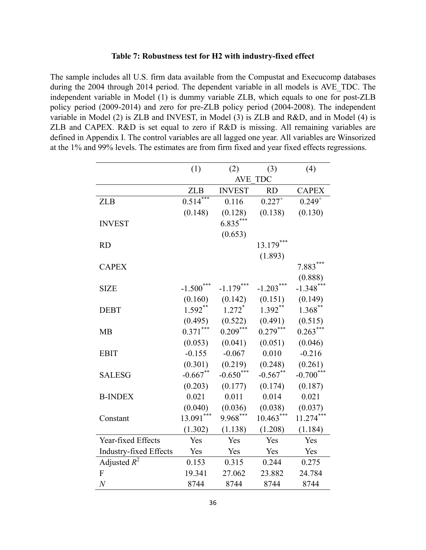#### **Table 7: Robustness test for H2 with industry-fixed effect**

The sample includes all U.S. firm data available from the Compustat and Execucomp databases during the 2004 through 2014 period. The dependent variable in all models is AVE\_TDC. The independent variable in Model (1) is dummy variable ZLB, which equals to one for post-ZLB policy period (2009-2014) and zero for pre-ZLB policy period (2004-2008). The independent variable in Model (2) is ZLB and INVEST, in Model (3) is ZLB and R&D, and in Model (4) is ZLB and CAPEX. R&D is set equal to zero if R&D is missing. All remaining variables are defined in Appendix I. The control variables are all lagged one year. All variables are Winsorized at the 1% and 99% levels. The estimates are from firm fixed and year fixed effects regressions.

|                               | (1)         | (2)                  | (3)                  | (4)          |
|-------------------------------|-------------|----------------------|----------------------|--------------|
|                               |             |                      | AVE TDC              |              |
|                               | <b>ZLB</b>  | <b>INVEST</b>        | <b>RD</b>            | <b>CAPEX</b> |
| <b>ZLB</b>                    | $0.514***$  | 0.116                | $0.227$ <sup>+</sup> | $0.249^{+}$  |
|                               | (0.148)     | (0.128)              | (0.138)              | (0.130)      |
| <b>INVEST</b>                 |             | $6.835***$           |                      |              |
|                               |             | (0.653)              |                      |              |
| <b>RD</b>                     |             |                      | $13.179***$          |              |
|                               |             |                      | (1.893)              |              |
| <b>CAPEX</b>                  |             |                      |                      | $7.883***$   |
|                               |             |                      |                      | (0.888)      |
| <b>SIZE</b>                   | $-1.500***$ | $-1.179***$          | $-1.203***$          | $-1.348***$  |
|                               | (0.160)     | (0.142)              | (0.151)              | (0.149)      |
| <b>DEBT</b>                   | $1.592**$   | $1.272$ <sup>*</sup> | $1.392**$            | $1.368$ **   |
|                               | (0.495)     | (0.522)              | (0.491)              | (0.515)      |
| <b>MB</b>                     | $0.371***$  | $0.209***$           | $0.279***$           | $0.263***$   |
|                               | (0.053)     | (0.041)              | (0.051)              | (0.046)      |
| <b>EBIT</b>                   | $-0.155$    | $-0.067$             | 0.010                | $-0.216$     |
|                               | (0.301)     | (0.219)              | (0.248)              | (0.261)      |
| <b>SALESG</b>                 | $-0.667$ ** | $-0.650$ ***         | $-0.567**$           | $-0.700$ *** |
|                               | (0.203)     | (0.177)              | (0.174)              | (0.187)      |
| <b>B-INDEX</b>                | 0.021       | 0.011                | 0.014                | 0.021        |
|                               | (0.040)     | (0.036)              | (0.038)              | (0.037)      |
| Constant                      | $13.091***$ | $9.968***$           | $10.463***$          | $11.274***$  |
|                               | (1.302)     | (1.138)              | (1.208)              | (1.184)      |
| Year-fixed Effects            | Yes         | Yes                  | Yes                  | Yes          |
| <b>Industry-fixed Effects</b> | Yes         | Yes                  | Yes                  | Yes          |
| Adjusted $R^2$                | 0.153       | 0.315                | 0.244                | 0.275        |
| F                             | 19.341      | 27.062               | 23.882               | 24.784       |
| $\boldsymbol{N}$              | 8744        | 8744                 | 8744                 | 8744         |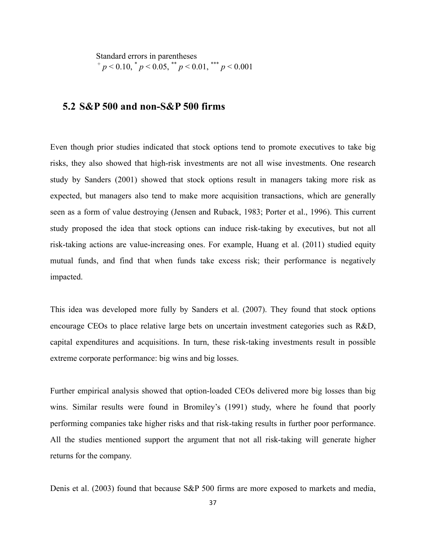Standard errors in parentheses<br>  $^{+}p < 0.10, ^{*}p < 0.05, ^{**}p < 0.01, ^{***}p < 0.001$ 

## **5.2 S&P 500 and non-S&P 500 firms**

Even though prior studies indicated that stock options tend to promote executives to take big risks, they also showed that high-risk investments are not all wise investments. One research study by Sanders (2001) showed that stock options result in managers taking more risk as expected, but managers also tend to make more acquisition transactions, which are generally seen as a form of value destroying (Jensen and Ruback, 1983; Porter et al., 1996). This current study proposed the idea that stock options can induce risk-taking by executives, but not all risk-taking actions are value-increasing ones. For example, Huang et al. (2011) studied equity mutual funds, and find that when funds take excess risk; their performance is negatively impacted.

This idea was developed more fully by Sanders et al. (2007). They found that stock options encourage CEOs to place relative large bets on uncertain investment categories such as R&D, capital expenditures and acquisitions. In turn, these risk-taking investments result in possible extreme corporate performance: big wins and big losses.

Further empirical analysis showed that option-loaded CEOs delivered more big losses than big wins. Similar results were found in Bromiley's (1991) study, where he found that poorly performing companies take higher risks and that risk-taking results in further poor performance. All the studies mentioned support the argument that not all risk-taking will generate higher returns for the company.

Denis et al. (2003) found that because S&P 500 firms are more exposed to markets and media,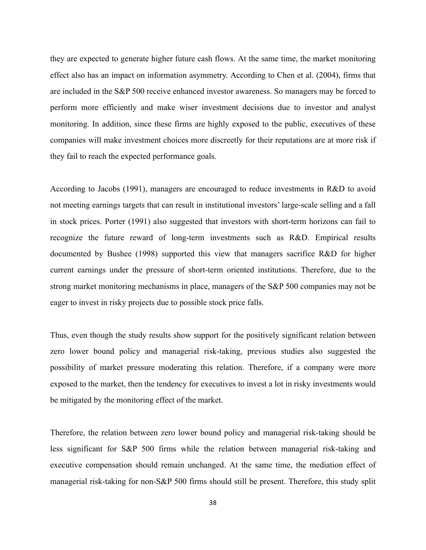they are expected to generate higher future cash flows. At the same time, the market monitoring effect also has an impact on information asymmetry. According to Chen et al. (2004), firms that are included in the S&P 500 receive enhanced investor awareness. So managers may be forced to perform more efficiently and make wiser investment decisions due to investor and analyst monitoring. In addition, since these firms are highly exposed to the public, executives of these companies will make investment choices more discreetly for their reputations are at more risk if they fail to reach the expected performance goals.

According to Jacobs (1991), managers are encouraged to reduce investments in R&D to avoid not meeting earnings targets that can result in institutional investors' large-scale selling and a fall in stock prices. Porter (1991) also suggested that investors with short-term horizons can fail to recognize the future reward of long-term investments such as R&D. Empirical results documented by Bushee (1998) supported this view that managers sacrifice R&D for higher current earnings under the pressure of short-term oriented institutions. Therefore, due to the strong market monitoring mechanisms in place, managers of the S&P 500 companies may not be eager to invest in risky projects due to possible stock price falls.

Thus, even though the study results show support for the positively significant relation between zero lower bound policy and managerial risk-taking, previous studies also suggested the possibility of market pressure moderating this relation. Therefore, if a company were more exposed to the market, then the tendency for executives to invest a lot in risky investments would be mitigated by the monitoring effect of the market.

Therefore, the relation between zero lower bound policy and managerial risk-taking should be less significant for S&P 500 firms while the relation between managerial risk-taking and executive compensation should remain unchanged. At the same time, the mediation effect of managerial risk-taking for non-S&P 500 firms should still be present. Therefore, this study split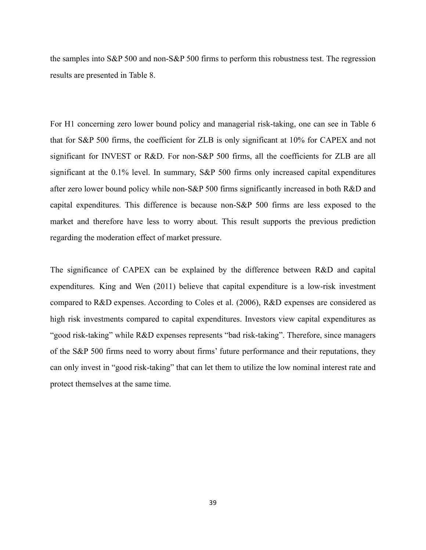the samples into S&P 500 and non-S&P 500 firms to perform this robustness test. The regression results are presented in Table 8.

For H1 concerning zero lower bound policy and managerial risk-taking, one can see in Table 6 that for S&P 500 firms, the coefficient for ZLB is only significant at 10% for CAPEX and not significant for INVEST or R&D. For non-S&P 500 firms, all the coefficients for ZLB are all significant at the 0.1% level. In summary, S&P 500 firms only increased capital expenditures after zero lower bound policy while non-S&P 500 firms significantly increased in both R&D and capital expenditures. This difference is because non-S&P 500 firms are less exposed to the market and therefore have less to worry about. This result supports the previous prediction regarding the moderation effect of market pressure.

The significance of CAPEX can be explained by the difference between R&D and capital expenditures. King and Wen (2011) believe that capital expenditure is a low-risk investment compared to R&D expenses. According to Coles et al. (2006), R&D expenses are considered as high risk investments compared to capital expenditures. Investors view capital expenditures as "good risk-taking" while R&D expenses represents "bad risk-taking". Therefore, since managers of the S&P 500 firms need to worry about firms' future performance and their reputations, they can only invest in "good risk-taking" that can let them to utilize the low nominal interest rate and protect themselves at the same time.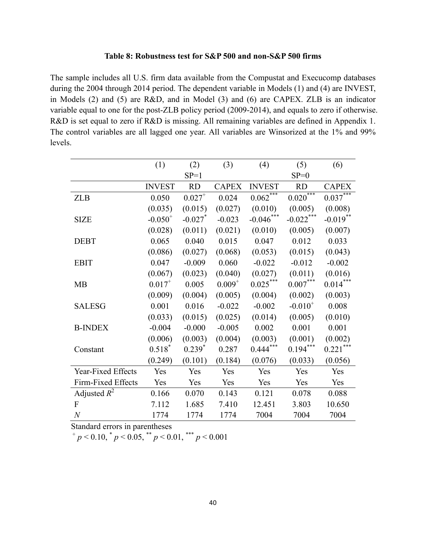#### **Table 8: Robustness test for S&P 500 and non-S&P 500 firms**

The sample includes all U.S. firm data available from the Compustat and Execucomp databases during the 2004 through 2014 period. The dependent variable in Models (1) and (4) are INVEST, in Models (2) and (5) are R&D, and in Model (3) and (6) are CAPEX. ZLB is an indicator variable equal to one for the post-ZLB policy period (2009-2014), and equals to zero if otherwise. R&D is set equal to zero if R&D is missing. All remaining variables are defined in Appendix 1. The control variables are all lagged one year. All variables are Winsorized at the 1% and 99% levels.

|                    | (1)           | (2)                   | (3)          | (4)           | (5)          | (6)             |
|--------------------|---------------|-----------------------|--------------|---------------|--------------|-----------------|
|                    |               | $SP=1$                |              |               | $SP=0$       |                 |
|                    | <b>INVEST</b> | RD                    | <b>CAPEX</b> | <b>INVEST</b> | <b>RD</b>    | <b>CAPEX</b>    |
| <b>ZLB</b>         | 0.050         | $0.027^{+}$           | 0.024        | $0.062***$    | $0.020***$   | $0.037***$      |
|                    | (0.035)       | (0.015)               | (0.027)      | (0.010)       | (0.005)      | (0.008)         |
| <b>SIZE</b>        | $-0.050^{+}$  | $-0.027$ <sup>*</sup> | $-0.023$     | $-0.046$ ***  | $-0.022***$  | $-0.019$ **     |
|                    | (0.028)       | (0.011)               | (0.021)      | (0.010)       | (0.005)      | (0.007)         |
| <b>DEBT</b>        | 0.065         | 0.040                 | 0.015        | 0.047         | 0.012        | 0.033           |
|                    | (0.086)       | (0.027)               | (0.068)      | (0.053)       | (0.015)      | (0.043)         |
| <b>EBIT</b>        | 0.047         | $-0.009$              | 0.060        | $-0.022$      | $-0.012$     | $-0.002$        |
|                    | (0.067)       | (0.023)               | (0.040)      | (0.027)       | (0.011)      | (0.016)         |
| MB                 | $0.017^{+}$   | 0.005                 | $0.009^{+}$  | $0.025***$    | $0.007***$   | $0.014^{***}\,$ |
|                    | (0.009)       | (0.004)               | (0.005)      | (0.004)       | (0.002)      | (0.003)         |
| <b>SALESG</b>      | 0.001         | 0.016                 | $-0.022$     | $-0.002$      | $-0.010^{+}$ | 0.008           |
|                    | (0.033)       | (0.015)               | (0.025)      | (0.014)       | (0.005)      | (0.010)         |
| <b>B-INDEX</b>     | $-0.004$      | $-0.000$              | $-0.005$     | 0.002         | 0.001        | 0.001           |
|                    | (0.006)       | (0.003)               | (0.004)      | (0.003)       | (0.001)      | (0.002)         |
| Constant           | $0.518*$      | $0.239*$              | 0.287        | $0.444***$    | $0.194***$   | $0.221***$      |
|                    | (0.249)       | (0.101)               | (0.184)      | (0.076)       | (0.033)      | (0.056)         |
| Year-Fixed Effects | Yes           | Yes                   | Yes          | Yes           | Yes          | Yes             |
| Firm-Fixed Effects | Yes           | Yes                   | Yes          | Yes           | Yes          | Yes             |
| Adjusted $R^2$     | 0.166         | 0.070                 | 0.143        | 0.121         | 0.078        | 0.088           |
| F                  | 7.112         | 1.685                 | 7.410        | 12.451        | 3.803        | 10.650          |
| $\boldsymbol{N}$   | 1774          | 1774                  | 1774         | 7004          | 7004         | 7004            |

Standard errors in parentheses<br>  $^{+}p < 0.10, ^{*}p < 0.05, ^{**}p < 0.01, ^{***}p < 0.001$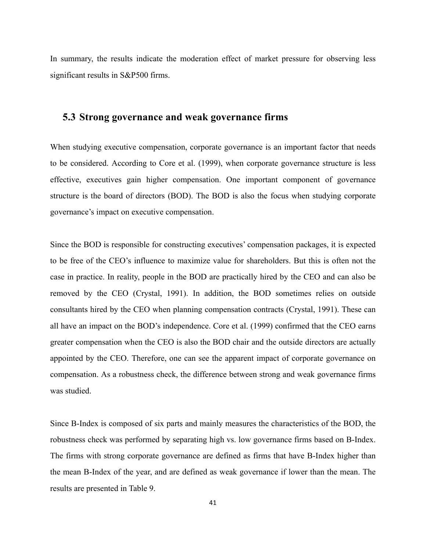In summary, the results indicate the moderation effect of market pressure for observing less significant results in S&P500 firms.

## **5.3 Strong governance and weak governance firms**

When studying executive compensation, corporate governance is an important factor that needs to be considered. According to Core et al. (1999), when corporate governance structure is less effective, executives gain higher compensation. One important component of governance structure is the board of directors (BOD). The BOD is also the focus when studying corporate governance's impact on executive compensation.

Since the BOD is responsible for constructing executives' compensation packages, it is expected to be free of the CEO's influence to maximize value for shareholders. But this is often not the case in practice. In reality, people in the BOD are practically hired by the CEO and can also be removed by the CEO (Crystal, 1991). In addition, the BOD sometimes relies on outside consultants hired by the CEO when planning compensation contracts (Crystal, 1991). These can all have an impact on the BOD's independence. Core et al. (1999) confirmed that the CEO earns greater compensation when the CEO is also the BOD chair and the outside directors are actually appointed by the CEO. Therefore, one can see the apparent impact of corporate governance on compensation. As a robustness check, the difference between strong and weak governance firms was studied.

Since B-Index is composed of six parts and mainly measures the characteristics of the BOD, the robustness check was performed by separating high vs. low governance firms based on B-Index. The firms with strong corporate governance are defined as firms that have B-Index higher than the mean B-Index of the year, and are defined as weak governance if lower than the mean. The results are presented in Table 9.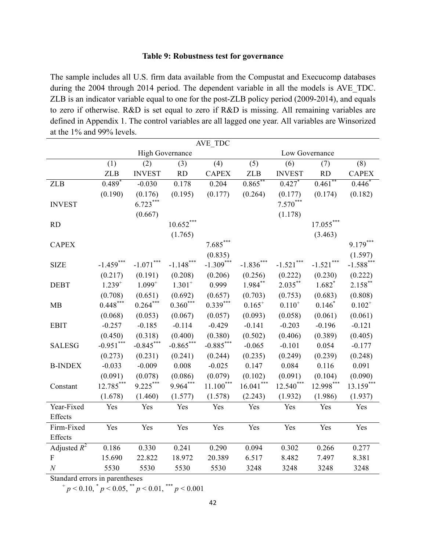#### **Table 9: Robustness test for governance**

The sample includes all U.S. firm data available from the Compustat and Execucomp databases during the 2004 through 2014 period. The dependent variable in all the models is AVE\_TDC. ZLB is an indicator variable equal to one for the post-ZLB policy period (2009-2014), and equals to zero if otherwise. R&D is set equal to zero if R&D is missing. All remaining variables are defined in Appendix 1. The control variables are all lagged one year. All variables are Winsorized at the 1% and 99% levels.

| AVE TDC                   |             |                        |              |              |             |                |              |              |
|---------------------------|-------------|------------------------|--------------|--------------|-------------|----------------|--------------|--------------|
|                           |             | <b>High Governance</b> |              |              |             | Low Governance |              |              |
|                           | (1)         | (2)                    | (3)          | (4)          | (5)         | (6)            | (7)          | (8)          |
|                           | <b>ZLB</b>  | <b>INVEST</b>          | <b>RD</b>    | <b>CAPEX</b> | <b>ZLB</b>  | <b>INVEST</b>  | <b>RD</b>    | <b>CAPEX</b> |
| <b>ZLB</b>                | $0.489*$    | $-0.030$               | 0.178        | 0.204        | $0.865***$  | $0.427*$       | $0.461$ **   | $0.446*$     |
|                           | (0.190)     | (0.176)                | (0.195)      | (0.177)      | (0.264)     | (0.177)        | (0.174)      | (0.182)      |
| <b>INVEST</b>             |             | $6.723***$             |              |              |             | $7.570***$     |              |              |
|                           |             | (0.667)                |              |              |             | (1.178)        |              |              |
| RD                        |             |                        | $10.652***$  |              |             |                | $17.055***$  |              |
|                           |             |                        | (1.765)      |              |             |                | (3.463)      |              |
| <b>CAPEX</b>              |             |                        |              | $7.685***$   |             |                |              | $9.179***$   |
|                           |             |                        |              | (0.835)      |             |                |              | (1.597)      |
| <b>SIZE</b>               | $-1.459***$ | $-1.071***$            | $-1.148$ *** | $-1.309***$  | $-1.836***$ | $-1.521$ ***   | $-1.521$ *** | $-1.588***$  |
|                           | (0.217)     | (0.191)                | (0.208)      | (0.206)      | (0.256)     | (0.222)        | (0.230)      | (0.222)      |
| <b>DEBT</b>               | $1.239^{+}$ | $1.099^{+}$            | $1.301^{+}$  | 0.999        | $1.984$ **  | $2.035***$     | $1.682*$     | $2.158$ **   |
|                           | (0.708)     | (0.651)                | (0.692)      | (0.657)      | (0.703)     | (0.753)        | (0.683)      | (0.808)      |
| MB                        | $0.448***$  | $0.264***$             | $0.360***$   | $0.339***$   | $0.165^{+}$ | $0.110^{+}$    | $0.146*$     | $0.102^{+}$  |
|                           | (0.068)     | (0.053)                | (0.067)      | (0.057)      | (0.093)     | (0.058)        | (0.061)      | (0.061)      |
| <b>EBIT</b>               | $-0.257$    | $-0.185$               | $-0.114$     | $-0.429$     | $-0.141$    | $-0.203$       | $-0.196$     | $-0.121$     |
|                           | (0.450)     | (0.318)                | (0.400)      | (0.380)      | (0.502)     | (0.406)        | (0.389)      | (0.405)      |
| <b>SALESG</b>             | $-0.951***$ | $-0.845***$            | $-0.865***$  | $-0.885***$  | $-0.065$    | $-0.101$       | 0.054        | $-0.177$     |
|                           | (0.273)     | (0.231)                | (0.241)      | (0.244)      | (0.235)     | (0.249)        | (0.239)      | (0.248)      |
| <b>B-INDEX</b>            | $-0.033$    | $-0.009$               | 0.008        | $-0.025$     | 0.147       | 0.084          | 0.116        | 0.091        |
|                           | (0.091)     | (0.078)                | (0.086)      | (0.079)      | (0.102)     | (0.091)        | (0.104)      | (0.090)      |
| Constant                  | $12.785***$ | $9.225***$             | 9.964***     | $11.100***$  | $16.041***$ | $12.540***$    | 12.998***    | 13.159***    |
|                           | (1.678)     | (1.460)                | (1.577)      | (1.578)      | (2.243)     | (1.932)        | (1.986)      | (1.937)      |
| Year-Fixed                | Yes         | Yes                    | Yes          | Yes          | Yes         | Yes            | Yes          | Yes          |
| Effects                   |             |                        |              |              |             |                |              |              |
| Firm-Fixed                | Yes         | Yes                    | Yes          | Yes          | Yes         | Yes            | Yes          | Yes          |
| Effects                   |             |                        |              |              |             |                |              |              |
| Adjusted $R^2$            | 0.186       | 0.330                  | 0.241        | 0.290        | 0.094       | 0.302          | 0.266        | 0.277        |
| $\boldsymbol{\mathrm{F}}$ | 15.690      | 22.822                 | 18.972       | 20.389       | 6.517       | 8.482          | 7.497        | 8.381        |
| $\cal N$                  | 5530        | 5530                   | 5530         | 5530         | 3248        | 3248           | 3248         | 3248         |

Standard errors in parentheses

 $+p < 0.10$ ,  $^{*}p < 0.05$ ,  $^{*}p < 0.01$ ,  $^{***}p < 0.001$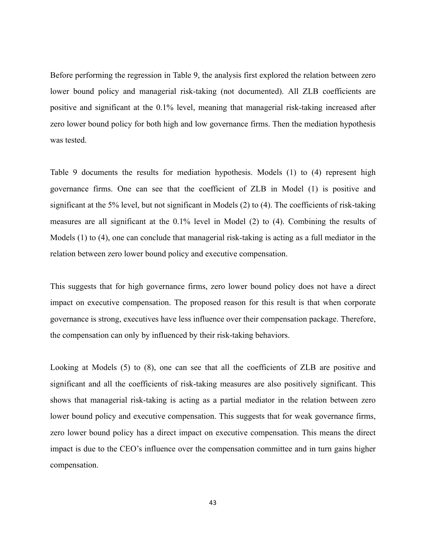Before performing the regression in Table 9, the analysis first explored the relation between zero lower bound policy and managerial risk-taking (not documented). All ZLB coefficients are positive and significant at the 0.1% level, meaning that managerial risk-taking increased after zero lower bound policy for both high and low governance firms. Then the mediation hypothesis was tested.

Table 9 documents the results for mediation hypothesis. Models (1) to (4) represent high governance firms. One can see that the coefficient of ZLB in Model (1) is positive and significant at the 5% level, but not significant in Models (2) to (4). The coefficients of risk-taking measures are all significant at the 0.1% level in Model (2) to (4). Combining the results of Models (1) to (4), one can conclude that managerial risk-taking is acting as a full mediator in the relation between zero lower bound policy and executive compensation.

This suggests that for high governance firms, zero lower bound policy does not have a direct impact on executive compensation. The proposed reason for this result is that when corporate governance is strong, executives have less influence over their compensation package. Therefore, the compensation can only by influenced by their risk-taking behaviors.

Looking at Models (5) to (8), one can see that all the coefficients of ZLB are positive and significant and all the coefficients of risk-taking measures are also positively significant. This shows that managerial risk-taking is acting as a partial mediator in the relation between zero lower bound policy and executive compensation. This suggests that for weak governance firms, zero lower bound policy has a direct impact on executive compensation. This means the direct impact is due to the CEO's influence over the compensation committee and in turn gains higher compensation.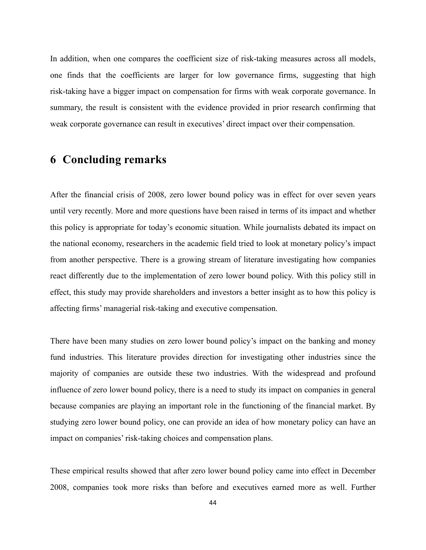In addition, when one compares the coefficient size of risk-taking measures across all models, one finds that the coefficients are larger for low governance firms, suggesting that high risk-taking have a bigger impact on compensation for firms with weak corporate governance. In summary, the result is consistent with the evidence provided in prior research confirming that weak corporate governance can result in executives' direct impact over their compensation.

# **6 Concluding remarks**

After the financial crisis of 2008, zero lower bound policy was in effect for over seven years until very recently. More and more questions have been raised in terms of its impact and whether this policy is appropriate for today's economic situation. While journalists debated its impact on the national economy, researchers in the academic field tried to look at monetary policy's impact from another perspective. There is a growing stream of literature investigating how companies react differently due to the implementation of zero lower bound policy. With this policy still in effect, this study may provide shareholders and investors a better insight as to how this policy is affecting firms' managerial risk-taking and executive compensation.

There have been many studies on zero lower bound policy's impact on the banking and money fund industries. This literature provides direction for investigating other industries since the majority of companies are outside these two industries. With the widespread and profound influence of zero lower bound policy, there is a need to study its impact on companies in general because companies are playing an important role in the functioning of the financial market. By studying zero lower bound policy, one can provide an idea of how monetary policy can have an impact on companies' risk-taking choices and compensation plans.

These empirical results showed that after zero lower bound policy came into effect in December 2008, companies took more risks than before and executives earned more as well. Further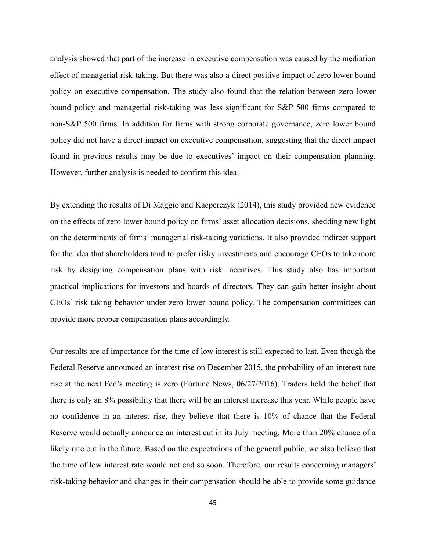analysis showed that part of the increase in executive compensation was caused by the mediation effect of managerial risk-taking. But there was also a direct positive impact of zero lower bound policy on executive compensation. The study also found that the relation between zero lower bound policy and managerial risk-taking was less significant for S&P 500 firms compared to non-S&P 500 firms. In addition for firms with strong corporate governance, zero lower bound policy did not have a direct impact on executive compensation, suggesting that the direct impact found in previous results may be due to executives' impact on their compensation planning. However, further analysis is needed to confirm this idea.

By extending the results of Di Maggio and Kacperczyk (2014), this study provided new evidence on the effects of zero lower bound policy on firms' asset allocation decisions, shedding new light on the determinants of firms' managerial risk-taking variations. It also provided indirect support for the idea that shareholders tend to prefer risky investments and encourage CEOs to take more risk by designing compensation plans with risk incentives. This study also has important practical implications for investors and boards of directors. They can gain better insight about CEOs' risk taking behavior under zero lower bound policy. The compensation committees can provide more proper compensation plans accordingly.

Our results are of importance for the time of low interest is still expected to last. Even though the Federal Reserve announced an interest rise on December 2015, the probability of an interest rate rise at the next Fed's meeting is zero (Fortune News, 06/27/2016). Traders hold the belief that there is only an 8% possibility that there will be an interest increase this year. While people have no confidence in an interest rise, they believe that there is 10% of chance that the Federal Reserve would actually announce an interest cut in its July meeting. More than 20% chance of a likely rate cut in the future. Based on the expectations of the general public, we also believe that the time of low interest rate would not end so soon. Therefore, our results concerning managers' risk-taking behavior and changes in their compensation should be able to provide some guidance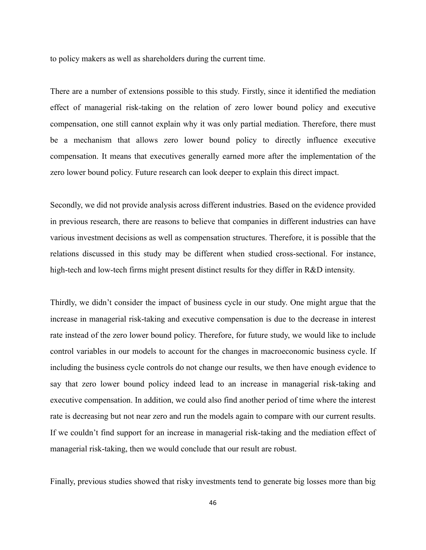to policy makers as well as shareholders during the current time.

There are a number of extensions possible to this study. Firstly, since it identified the mediation effect of managerial risk-taking on the relation of zero lower bound policy and executive compensation, one still cannot explain why it was only partial mediation. Therefore, there must be a mechanism that allows zero lower bound policy to directly influence executive compensation. It means that executives generally earned more after the implementation of the zero lower bound policy. Future research can look deeper to explain this direct impact.

Secondly, we did not provide analysis across different industries. Based on the evidence provided in previous research, there are reasons to believe that companies in different industries can have various investment decisions as well as compensation structures. Therefore, it is possible that the relations discussed in this study may be different when studied cross-sectional. For instance, high-tech and low-tech firms might present distinct results for they differ in R&D intensity.

Thirdly, we didn't consider the impact of business cycle in our study. One might argue that the increase in managerial risk-taking and executive compensation is due to the decrease in interest rate instead of the zero lower bound policy. Therefore, for future study, we would like to include control variables in our models to account for the changes in macroeconomic business cycle. If including the business cycle controls do not change our results, we then have enough evidence to say that zero lower bound policy indeed lead to an increase in managerial risk-taking and executive compensation. In addition, we could also find another period of time where the interest rate is decreasing but not near zero and run the models again to compare with our current results. If we couldn't find support for an increase in managerial risk-taking and the mediation effect of managerial risk-taking, then we would conclude that our result are robust.

Finally, previous studies showed that risky investments tend to generate big losses more than big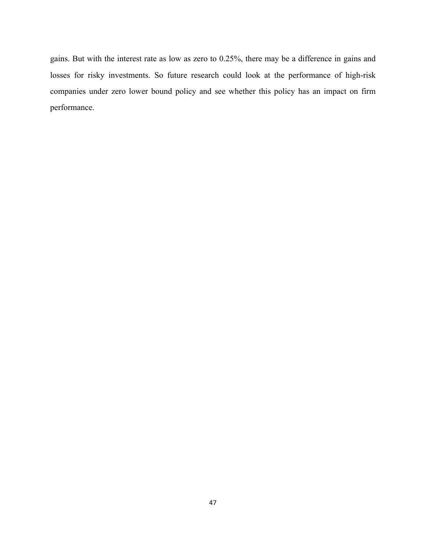gains. But with the interest rate as low as zero to 0.25%, there may be a difference in gains and losses for risky investments. So future research could look at the performance of high-risk companies under zero lower bound policy and see whether this policy has an impact on firm performance.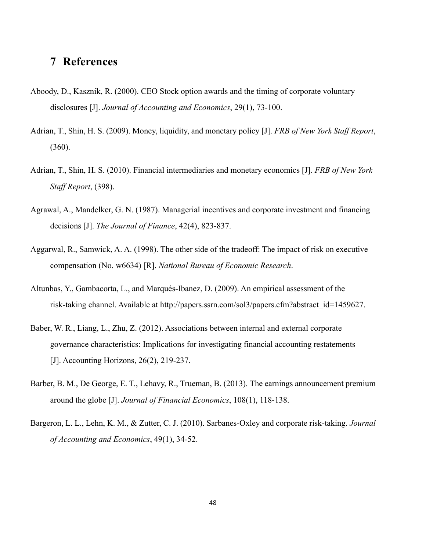# **7 References**

- Aboody, D., Kasznik, R. (2000). CEO Stock option awards and the timing of corporate voluntary disclosures [J]. *Journal of Accounting and Economics*, 29(1), 73-100.
- Adrian, T., Shin, H. S. (2009). Money, liquidity, and monetary policy [J]. *FRB of New York Staff Report*, (360).
- Adrian, T., Shin, H. S. (2010). Financial intermediaries and monetary economics [J]. *FRB of New York Staff Report*, (398).
- Agrawal, A., Mandelker, G. N. (1987). Managerial incentives and corporate investment and financing decisions [J]. *The Journal of Finance*, 42(4), 823-837.
- Aggarwal, R., Samwick, A. A. (1998). The other side of the tradeoff: The impact of risk on executive compensation (No. w6634) [R]. *National Bureau of Economic Research*.
- Altunbas, Y., Gambacorta, L., and Marqués-Ibanez, D. (2009). An empirical assessment of the risk-taking channel. Available at http://papers.ssrn.com/sol3/papers.cfm?abstract\_id=1459627.
- Baber, W. R., Liang, L., Zhu, Z. (2012). Associations between internal and external corporate governance characteristics: Implications for investigating financial accounting restatements [J]. Accounting Horizons, 26(2), 219-237.
- Barber, B. M., De George, E. T., Lehavy, R., Trueman, B. (2013). The earnings announcement premium around the globe [J]. *Journal of Financial Economics*, 108(1), 118-138.
- Bargeron, L. L., Lehn, K. M., & Zutter, C. J. (2010). Sarbanes-Oxley and corporate risk-taking. *Journal of Accounting and Economics*, 49(1), 34-52.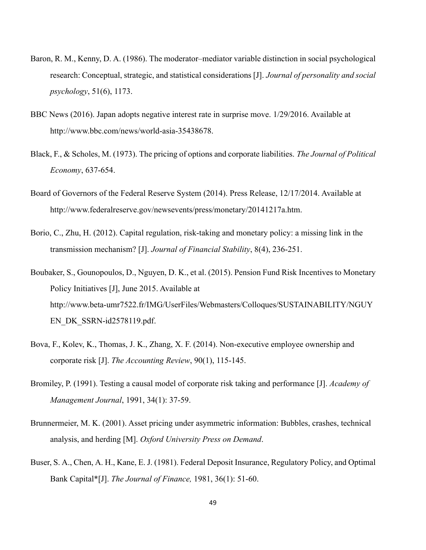- Baron, R. M., Kenny, D. A. (1986). The moderator–mediator variable distinction in social psychological research: Conceptual, strategic, and statistical considerations [J]. *Journal of personality and social psychology*, 51(6), 1173.
- BBC News (2016). Japan adopts negative interest rate in surprise move. 1/29/2016. Available at http://www.bbc.com/news/world-asia-35438678.
- Black, F., & Scholes, M. (1973). The pricing of options and corporate liabilities. *The Journal of Political Economy*, 637-654.
- Board of Governors of the Federal Reserve System (2014). Press Release, 12/17/2014. Available at http://www.federalreserve.gov/newsevents/press/monetary/20141217a.htm.
- Borio, C., Zhu, H. (2012). Capital regulation, risk-taking and monetary policy: a missing link in the transmission mechanism? [J]. *Journal of Financial Stability*, 8(4), 236-251.
- Boubaker, S., Gounopoulos, D., Nguyen, D. K., et al. (2015). Pension Fund Risk Incentives to Monetary Policy Initiatives [J], June 2015. Available at http://www.beta-umr7522.fr/IMG/UserFiles/Webmasters/Colloques/SUSTAINABILITY/NGUY EN\_DK\_SSRN-id2578119.pdf.
- Bova, F., Kolev, K., Thomas, J. K., Zhang, X. F. (2014). Non-executive employee ownership and corporate risk [J]. *The Accounting Review*, 90(1), 115-145.
- Bromiley, P. (1991). Testing a causal model of corporate risk taking and performance [J]. *Academy of Management Journal*, 1991, 34(1): 37-59.
- Brunnermeier, M. K. (2001). Asset pricing under asymmetric information: Bubbles, crashes, technical analysis, and herding [M]. *Oxford University Press on Demand*.
- Buser, S. A., Chen, A. H., Kane, E. J. (1981). Federal Deposit Insurance, Regulatory Policy, and Optimal Bank Capital\*[J]. *The Journal of Finance,* 1981, 36(1): 51-60.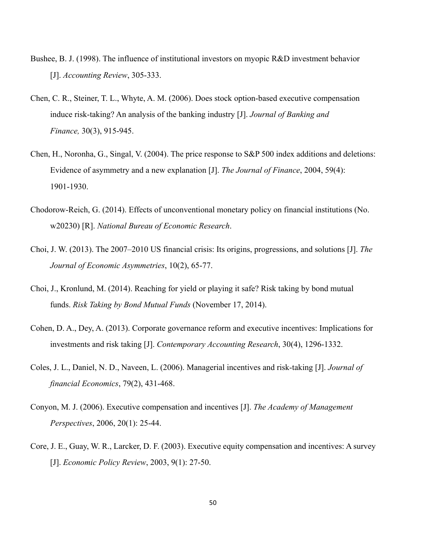- Bushee, B. J. (1998). The influence of institutional investors on myopic R&D investment behavior [J]. *Accounting Review*, 305-333.
- Chen, C. R., Steiner, T. L., Whyte, A. M. (2006). Does stock option-based executive compensation induce risk-taking? An analysis of the banking industry [J]. *Journal of Banking and Finance,* 30(3), 915-945.
- Chen, H., Noronha, G., Singal, V. (2004). The price response to S&P 500 index additions and deletions: Evidence of asymmetry and a new explanation [J]. *The Journal of Finance*, 2004, 59(4): 1901-1930.
- Chodorow-Reich, G. (2014). Effects of unconventional monetary policy on financial institutions (No. w20230) [R]. *National Bureau of Economic Research*.
- Choi, J. W. (2013). The 2007–2010 US financial crisis: Its origins, progressions, and solutions [J]. *The Journal of Economic Asymmetries*, 10(2), 65-77.
- Choi, J., Kronlund, M. (2014). Reaching for yield or playing it safe? Risk taking by bond mutual funds. *Risk Taking by Bond Mutual Funds* (November 17, 2014).
- Cohen, D. A., Dey, A. (2013). Corporate governance reform and executive incentives: Implications for investments and risk taking [J]. *Contemporary Accounting Research*, 30(4), 1296-1332.
- Coles, J. L., Daniel, N. D., Naveen, L. (2006). Managerial incentives and risk-taking [J]. *Journal of financial Economics*, 79(2), 431-468.
- Conyon, M. J. (2006). Executive compensation and incentives [J]. *The Academy of Management Perspectives*, 2006, 20(1): 25-44.
- Core, J. E., Guay, W. R., Larcker, D. F. (2003). Executive equity compensation and incentives: A survey [J]. *Economic Policy Review*, 2003, 9(1): 27-50.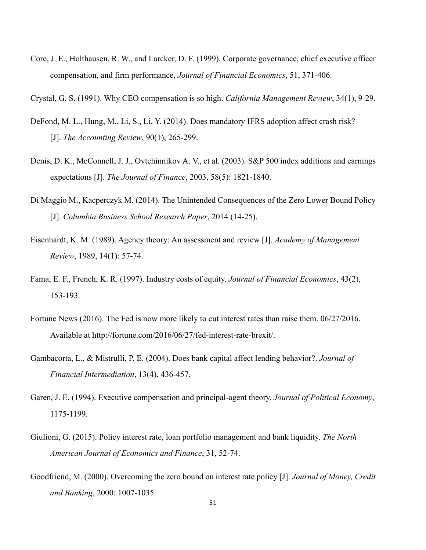Core, J. E., Holthausen, R. W., and Larcker, D. F. (1999). Corporate governance, chief executive officer compensation, and firm performance, *Journal of Financial Economics*, 51, 371-406.

Crystal, G. S. (1991). Why CEO compensation is so high. *California Management Review*, 34(1), 9-29.

- DeFond, M. L., Hung, M., Li, S., Li, Y. (2014). Does mandatory IFRS adoption affect crash risk? [J]. *The Accounting Review*, 90(1), 265-299.
- Denis, D. K., McConnell, J. J., Ovtchinnikov A. V., et al. (2003). S&P 500 index additions and earnings expectations [J]. *The Journal of Finance*, 2003, 58(5): 1821-1840.
- Di Maggio M., Kacperczyk M. (2014). The Unintended Consequences of the Zero Lower Bound Policy [J]. *Columbia Business School Research Paper*, 2014 (14-25).
- Eisenhardt, K. M. (1989). Agency theory: An assessment and review [J]. *Academy of Management Review*, 1989, 14(1): 57-74.
- Fama, E. F., French, K. R. (1997). Industry costs of equity. *Journal of Financial Economics*, 43(2), 153-193.
- Fortune News (2016). The Fed is now more likely to cut interest rates than raise them. 06/27/2016. Available at http://fortune.com/2016/06/27/fed-interest-rate-brexit/.
- Gambacorta, L., & Mistrulli, P. E. (2004). Does bank capital affect lending behavior?. *Journal of Financial Intermediation*, 13(4), 436-457.
- Garen, J. E. (1994). Executive compensation and principal-agent theory. *Journal of Political Economy*, 1175-1199.
- Giulioni, G. (2015). Policy interest rate, loan portfolio management and bank liquidity. *The North American Journal of Economics and Finance*, 31, 52-74.
- Goodfriend, M. (2000). Overcoming the zero bound on interest rate policy [J]. *Journal of Money, Credit and Banking*, 2000: 1007-1035.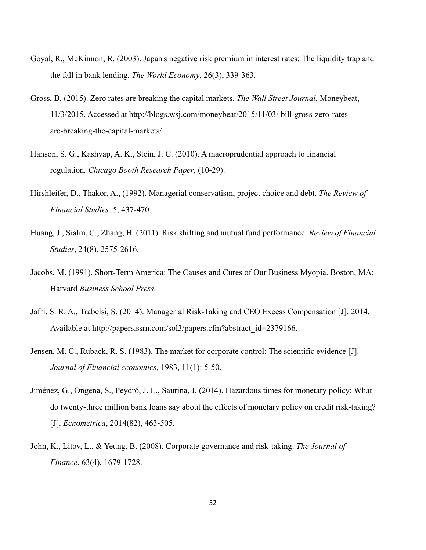- Goyal, R., McKinnon, R. (2003). Japan's negative risk premium in interest rates: The liquidity trap and the fall in bank lending. *The World Economy*, 26(3), 339-363.
- Gross, B. (2015). Zero rates are breaking the capital markets. *The Wall Street Journal*, Moneybeat, 11/3/2015. Accessed at http://blogs.wsj.com/moneybeat/2015/11/03/ bill-gross-zero-ratesare-breaking-the-capital-markets/.
- Hanson, S. G., Kashyap, A. K., Stein, J. C. (2010). A macroprudential approach to financial regulation*. Chicago Booth Research Paper*, (10-29).
- Hirshleifer, D., Thakor, A., (1992). Managerial conservatism, project choice and debt. *The Review of Financial Studies*. 5, 437-470.
- Huang, J., Sialm, C., Zhang, H. (2011). Risk shifting and mutual fund performance. *Review of Financial Studies*, 24(8), 2575-2616.
- Jacobs, M. (1991). Short-Term America: The Causes and Cures of Our Business Myopia. Boston, MA: Harvard *Business School Press*.
- Jafri, S. R. A., Trabelsi, S. (2014). Managerial Risk-Taking and CEO Excess Compensation [J]. 2014. Available at http://papers.ssrn.com/sol3/papers.cfm?abstract\_id=2379166.
- Jensen, M. C., Ruback, R. S. (1983). The market for corporate control: The scientific evidence [J]. *Journal of Financial economics,* 1983, 11(1): 5-50.
- Jiménez, G., Ongena, S., Peydró, J. L., Saurina, J. (2014). Hazardous times for monetary policy: What do twenty-three million bank loans say about the effects of monetary policy on credit risk-taking? [J]. *Ecnometrica*, 2014(82), 463-505.
- John, K., Litov, L., & Yeung, B. (2008). Corporate governance and risk-taking. *The Journal of Finance*, 63(4), 1679-1728.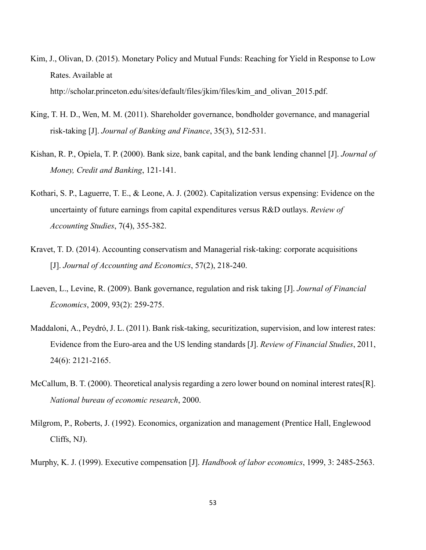- Kim, J., Olivan, D. (2015). Monetary Policy and Mutual Funds: Reaching for Yield in Response to Low Rates. Available at http://scholar.princeton.edu/sites/default/files/jkim/files/kim\_and\_olivan\_2015.pdf.
- King, T. H. D., Wen, M. M. (2011). Shareholder governance, bondholder governance, and managerial risk-taking [J]. *Journal of Banking and Finance*, 35(3), 512-531.
- Kishan, R. P., Opiela, T. P. (2000). Bank size, bank capital, and the bank lending channel [J]. *Journal of Money, Credit and Banking*, 121-141.
- Kothari, S. P., Laguerre, T. E., & Leone, A. J. (2002). Capitalization versus expensing: Evidence on the uncertainty of future earnings from capital expenditures versus R&D outlays. *Review of Accounting Studies*, 7(4), 355-382.
- Kravet, T. D. (2014). Accounting conservatism and Managerial risk-taking: corporate acquisitions [J]. *Journal of Accounting and Economics*, 57(2), 218-240.
- Laeven, L., Levine, R. (2009). Bank governance, regulation and risk taking [J]. *Journal of Financial Economics*, 2009, 93(2): 259-275.
- Maddaloni, A., Peydró, J. L. (2011). Bank risk-taking, securitization, supervision, and low interest rates: Evidence from the Euro-area and the US lending standards [J]. *Review of Financial Studies*, 2011, 24(6): 2121-2165.
- McCallum, B. T. (2000). Theoretical analysis regarding a zero lower bound on nominal interest rates[R]. *National bureau of economic research*, 2000.
- Milgrom, P., Roberts, J. (1992). Economics, organization and management (Prentice Hall, Englewood Cliffs, NJ).
- Murphy, K. J. (1999). Executive compensation [J]. *Handbook of labor economics*, 1999, 3: 2485-2563.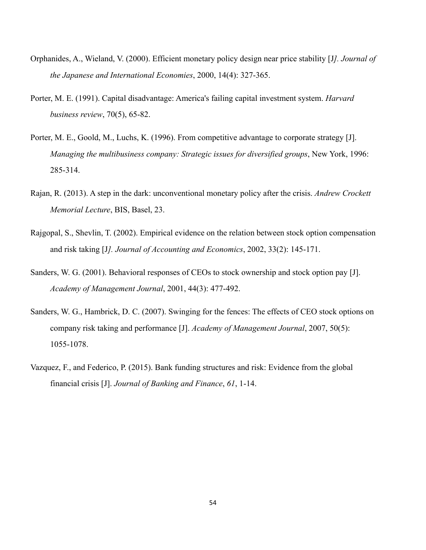- Orphanides, A., Wieland, V. (2000). Efficient monetary policy design near price stability [J*]. Journal of the Japanese and International Economies*, 2000, 14(4): 327-365.
- Porter, M. E. (1991). Capital disadvantage: America's failing capital investment system. *Harvard business review*, 70(5), 65-82.
- Porter, M. E., Goold, M., Luchs, K. (1996). From competitive advantage to corporate strategy [J]. *Managing the multibusiness company: Strategic issues for diversified groups*, New York, 1996: 285-314.
- Rajan, R. (2013). A step in the dark: unconventional monetary policy after the crisis. *Andrew Crockett Memorial Lecture*, BIS, Basel, 23.
- Rajgopal, S., Shevlin, T. (2002). Empirical evidence on the relation between stock option compensation and risk taking [J*]. Journal of Accounting and Economics*, 2002, 33(2): 145-171.
- Sanders, W. G. (2001). Behavioral responses of CEOs to stock ownership and stock option pay [J]. *Academy of Management Journal*, 2001, 44(3): 477-492.
- Sanders, W. G., Hambrick, D. C. (2007). Swinging for the fences: The effects of CEO stock options on company risk taking and performance [J]. *Academy of Management Journal*, 2007, 50(5): 1055-1078.
- Vazquez, F., and Federico, P. (2015). Bank funding structures and risk: Evidence from the global financial crisis [J]. *Journal of Banking and Finance*, *61*, 1-14.